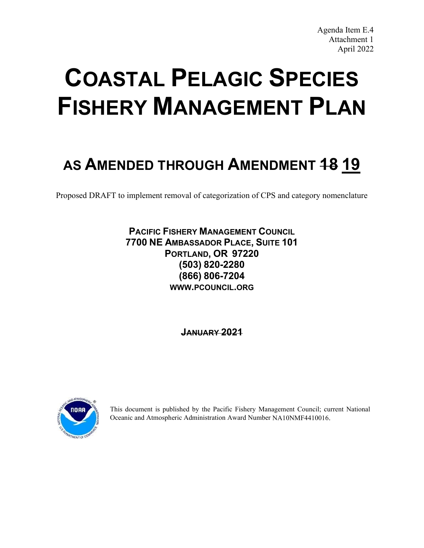# **COASTAL PELAGIC SPECIES FISHERY MANAGEMENT PLAN**

# **AS AMENDED THROUGH AMENDMENT 18 19**

Proposed DRAFT to implement removal of categorization of CPS and category nomenclature

# **PACIFIC FISHERY MANAGEMENT COUNCIL 7700 NE AMBASSADOR PLACE, SUITE 101 PORTLAND, OR 97220 (503) 820-2280 (866) 806-7204 WWW.PCOUNCIL.ORG**

**JANUARY 2021**



This document is published by the Pacific Fishery Management Council; current National Oceanic and Atmospheric Administration Award Number NA10NMF4410016.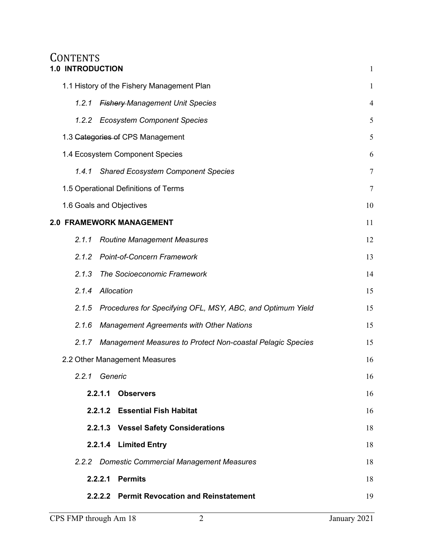# **CONTENTS [1.0 INTRODUCTION](#page-6-0)** [1](#page-6-0)

|                          |         | 1.1 History of the Fishery Management Plan                 | $\mathbf{1}$     |  |  |
|--------------------------|---------|------------------------------------------------------------|------------------|--|--|
| 1.2.1                    |         | <b>Fishery-Management Unit Species</b><br>$\overline{4}$   |                  |  |  |
|                          |         | 1.2.2 Ecosystem Component Species                          | 5                |  |  |
|                          |         | 1.3 Gategories of CPS Management                           | 5                |  |  |
|                          |         | 1.4 Ecosystem Component Species                            | 6                |  |  |
| 1.4.1                    |         | <b>Shared Ecosystem Component Species</b>                  | $\boldsymbol{7}$ |  |  |
|                          |         | 1.5 Operational Definitions of Terms                       | $\boldsymbol{7}$ |  |  |
| 1.6 Goals and Objectives |         |                                                            | 10               |  |  |
|                          |         | <b>2.0 FRAMEWORK MANAGEMENT</b>                            | 11               |  |  |
| 2.1.1                    |         | <b>Routine Management Measures</b>                         | 12               |  |  |
| 2.1.2                    |         | <b>Point-of-Concern Framework</b>                          | 13               |  |  |
| 2.1.3                    |         | The Socioeconomic Framework<br>14                          |                  |  |  |
| 2.1.4                    |         | Allocation                                                 | 15               |  |  |
| 2.1.5                    |         | Procedures for Specifying OFL, MSY, ABC, and Optimum Yield | 15               |  |  |
| 2.1.6                    |         | <b>Management Agreements with Other Nations</b>            | 15               |  |  |
| 2.1.7                    |         | Management Measures to Protect Non-coastal Pelagic Species | 15               |  |  |
|                          |         | 2.2 Other Management Measures                              | 16               |  |  |
| 2.2.1                    | Generic |                                                            | 16               |  |  |
|                          |         | 2.2.1.1 Observers                                          | 16               |  |  |
|                          |         | 2.2.1.2 Essential Fish Habitat                             | 16               |  |  |
|                          |         | 2.2.1.3 Vessel Safety Considerations                       | 18               |  |  |
|                          |         | 2.2.1.4 Limited Entry                                      | 18               |  |  |
|                          |         | 2.2.2 Domestic Commercial Management Measures              | 18               |  |  |
|                          |         | 2.2.2.1 Permits                                            | 18               |  |  |
|                          |         | 2.2.2.2 Permit Revocation and Reinstatement                | 19               |  |  |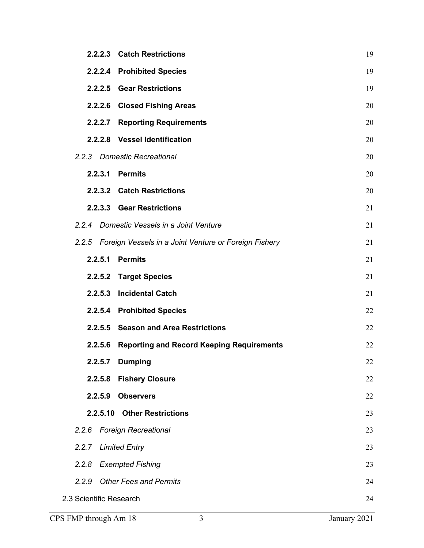|                         | 2.2.2.3 Catch Restrictions                                  | 19 |
|-------------------------|-------------------------------------------------------------|----|
|                         | 2.2.2.4 Prohibited Species                                  | 19 |
|                         | 2.2.2.5 Gear Restrictions                                   | 19 |
|                         | 2.2.2.6 Closed Fishing Areas                                | 20 |
|                         | 2.2.2.7 Reporting Requirements                              | 20 |
|                         | 2.2.2.8 Vessel Identification                               | 20 |
|                         | 2.2.3 Domestic Recreational                                 | 20 |
| 2.2.3.1                 | <b>Permits</b>                                              | 20 |
|                         | 2.2.3.2 Catch Restrictions                                  | 20 |
|                         | 2.2.3.3 Gear Restrictions                                   | 21 |
| 2.2.4                   | Domestic Vessels in a Joint Venture                         | 21 |
|                         | 2.2.5 Foreign Vessels in a Joint Venture or Foreign Fishery | 21 |
| 2.2.5.1                 | <b>Permits</b>                                              | 21 |
|                         | 2.2.5.2 Target Species                                      | 21 |
|                         | 2.2.5.3 Incidental Catch                                    | 21 |
|                         | 2.2.5.4 Prohibited Species                                  | 22 |
|                         | 2.2.5.5 Season and Area Restrictions                        | 22 |
| 2.2.5.6                 | <b>Reporting and Record Keeping Requirements</b>            | 22 |
| 2.2.5.7                 | <b>Dumping</b>                                              | 22 |
| 2.2.5.8                 | <b>Fishery Closure</b>                                      | 22 |
| 2.2.5.9                 | <b>Observers</b>                                            | 22 |
|                         | 2.2.5.10 Other Restrictions                                 | 23 |
| 2.2.6                   | <b>Foreign Recreational</b>                                 | 23 |
| 2.2.7                   | <b>Limited Entry</b>                                        | 23 |
| 2.2.8                   | <b>Exempted Fishing</b>                                     | 23 |
| 2.2.9                   | <b>Other Fees and Permits</b>                               | 24 |
| 2.3 Scientific Research |                                                             | 24 |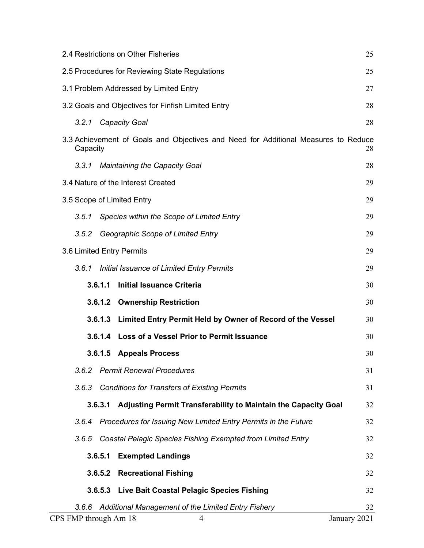|                           | 2.4 Restrictions on Other Fisheries<br>25            |                                                                                    |              |  |  |  |
|---------------------------|------------------------------------------------------|------------------------------------------------------------------------------------|--------------|--|--|--|
|                           | 25<br>2.5 Procedures for Reviewing State Regulations |                                                                                    |              |  |  |  |
|                           | 3.1 Problem Addressed by Limited Entry<br>27         |                                                                                    |              |  |  |  |
|                           |                                                      | 3.2 Goals and Objectives for Finfish Limited Entry                                 | 28           |  |  |  |
| 3.2.1                     |                                                      | <b>Capacity Goal</b>                                                               | 28           |  |  |  |
| Capacity                  |                                                      | 3.3 Achievement of Goals and Objectives and Need for Additional Measures to Reduce | 28           |  |  |  |
| 3.3.1                     |                                                      | <b>Maintaining the Capacity Goal</b>                                               | 28           |  |  |  |
|                           |                                                      | 3.4 Nature of the Interest Created                                                 | 29           |  |  |  |
|                           |                                                      | 3.5 Scope of Limited Entry                                                         | 29           |  |  |  |
| 3.5.1                     |                                                      | Species within the Scope of Limited Entry                                          | 29           |  |  |  |
| 3.5.2                     |                                                      | Geographic Scope of Limited Entry                                                  | 29           |  |  |  |
| 3.6 Limited Entry Permits |                                                      |                                                                                    | 29           |  |  |  |
| 3.6.1                     |                                                      | Initial Issuance of Limited Entry Permits                                          | 29           |  |  |  |
|                           | 3.6.1.1                                              | <b>Initial Issuance Criteria</b>                                                   | 30           |  |  |  |
|                           |                                                      | 3.6.1.2 Ownership Restriction                                                      | 30           |  |  |  |
|                           |                                                      | 3.6.1.3 Limited Entry Permit Held by Owner of Record of the Vessel                 | 30           |  |  |  |
|                           |                                                      | 3.6.1.4 Loss of a Vessel Prior to Permit Issuance                                  | 30           |  |  |  |
|                           |                                                      | 3.6.1.5 Appeals Process                                                            | 30           |  |  |  |
| 3.6.2                     |                                                      | <b>Permit Renewal Procedures</b>                                                   | 31           |  |  |  |
| 3.6.3                     |                                                      | <b>Conditions for Transfers of Existing Permits</b>                                | 31           |  |  |  |
|                           | 3.6.3.1                                              | Adjusting Permit Transferability to Maintain the Capacity Goal                     | 32           |  |  |  |
| 3.6.4                     |                                                      | Procedures for Issuing New Limited Entry Permits in the Future                     | 32           |  |  |  |
| 3.6.5                     |                                                      | Coastal Pelagic Species Fishing Exempted from Limited Entry                        | 32           |  |  |  |
|                           | 3.6.5.1                                              | <b>Exempted Landings</b>                                                           | 32           |  |  |  |
|                           | 3.6.5.2                                              | <b>Recreational Fishing</b>                                                        | 32           |  |  |  |
|                           | 3.6.5.3                                              | Live Bait Coastal Pelagic Species Fishing                                          | 32           |  |  |  |
| 3.6.6                     |                                                      | Additional Management of the Limited Entry Fishery                                 | 32           |  |  |  |
| CPS FMP through Am 18     |                                                      | 4                                                                                  | January 2021 |  |  |  |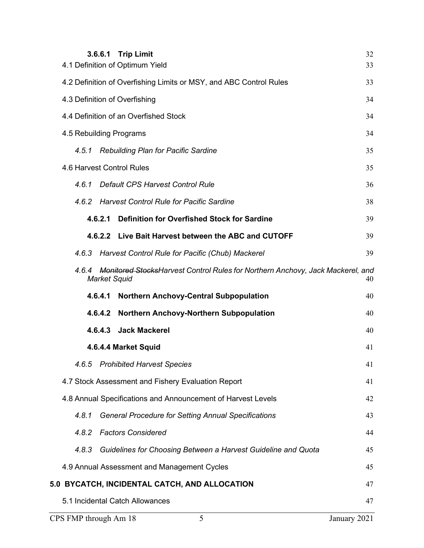|                         |         | 3.6.6.1 Trip Limit<br>4.1 Definition of Optimum Yield                                                        | 32<br>33     |
|-------------------------|---------|--------------------------------------------------------------------------------------------------------------|--------------|
|                         |         | 4.2 Definition of Overfishing Limits or MSY, and ABC Control Rules                                           | 33           |
|                         |         | 4.3 Definition of Overfishing                                                                                | 34           |
|                         |         | 4.4 Definition of an Overfished Stock                                                                        | 34           |
| 4.5 Rebuilding Programs |         |                                                                                                              | 34           |
| 4.5.1                   |         | <b>Rebuilding Plan for Pacific Sardine</b>                                                                   | 35           |
|                         |         | 4.6 Harvest Control Rules                                                                                    | 35           |
| 461                     |         | Default CPS Harvest Control Rule                                                                             | 36           |
| 4.6.2                   |         | <b>Harvest Control Rule for Pacific Sardine</b>                                                              | 38           |
|                         | 4.6.2.1 | <b>Definition for Overfished Stock for Sardine</b>                                                           | 39           |
|                         |         | 4.6.2.2 Live Bait Harvest between the ABC and CUTOFF                                                         | 39           |
| 4.6.3                   |         | Harvest Control Rule for Pacific (Chub) Mackerel                                                             | 39           |
| 4.6.4                   |         | <b>Monitored StocksHarvest Control Rules for Northern Anchovy, Jack Mackerel, and</b><br><b>Market Squid</b> | 40           |
|                         | 4.6.4.1 | <b>Northern Anchovy-Central Subpopulation</b>                                                                | 40           |
|                         | 4.6.4.2 | Northern Anchovy-Northern Subpopulation                                                                      | 40           |
|                         | 4.6.4.3 | <b>Jack Mackerel</b>                                                                                         | 40           |
|                         |         | 4.6.4.4 Market Squid                                                                                         | 41           |
| 4.6.5                   |         | <b>Prohibited Harvest Species</b>                                                                            | 41           |
|                         |         | 4.7 Stock Assessment and Fishery Evaluation Report                                                           | 41           |
|                         |         | 4.8 Annual Specifications and Announcement of Harvest Levels                                                 | 42           |
| 4.8.1                   |         | <b>General Procedure for Setting Annual Specifications</b>                                                   | 43           |
| 4.8.2                   |         | <b>Factors Considered</b>                                                                                    | 44           |
| 4.8.3                   |         | Guidelines for Choosing Between a Harvest Guideline and Quota                                                | 45           |
|                         |         | 4.9 Annual Assessment and Management Cycles                                                                  | 45           |
|                         |         | 5.0 BYCATCH, INCIDENTAL CATCH, AND ALLOCATION                                                                | 47           |
|                         |         | 5.1 Incidental Catch Allowances                                                                              | 47           |
| CPS FMP through Am 18   |         | 5                                                                                                            | January 2021 |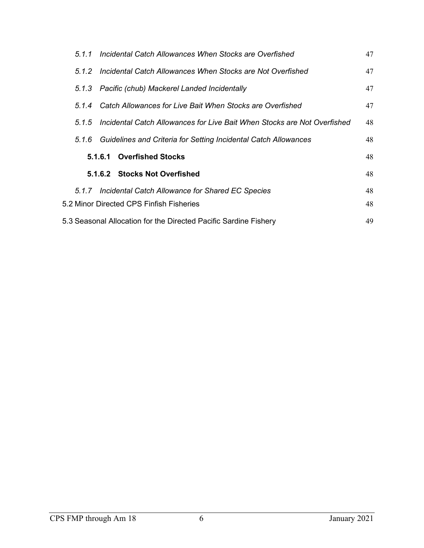| Incidental Catch Allowances When Stocks are Overfished<br>5.1.1                   | 47 |
|-----------------------------------------------------------------------------------|----|
| Incidental Catch Allowances When Stocks are Not Overfished<br>5.1.2               | 47 |
| 5.1.3 Pacific (chub) Mackerel Landed Incidentally                                 | 47 |
| Catch Allowances for Live Bait When Stocks are Overfished<br>5.1.4                | 47 |
| Incidental Catch Allowances for Live Bait When Stocks are Not Overfished<br>5.1.5 | 48 |
| 5.1.6 Guidelines and Criteria for Setting Incidental Catch Allowances             | 48 |
| <b>Overfished Stocks</b><br>5.1.6.1                                               | 48 |
| 5.1.6.2 Stocks Not Overfished                                                     | 48 |
| 5.1.7 Incidental Catch Allowance for Shared EC Species                            | 48 |
| 5.2 Minor Directed CPS Finfish Fisheries                                          | 48 |
| 5.3 Seasonal Allocation for the Directed Pacific Sardine Fishery                  | 49 |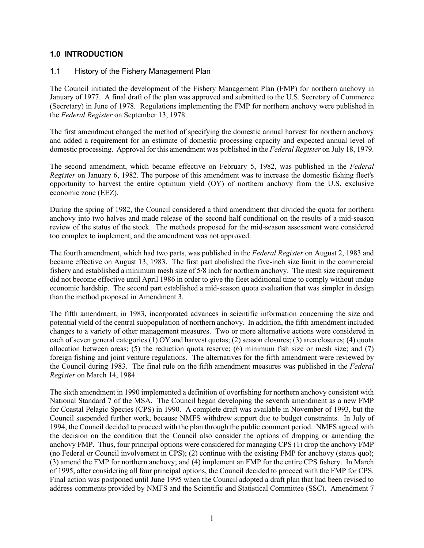#### <span id="page-6-0"></span>**1.0 INTRODUCTION**

#### <span id="page-6-1"></span>1.1 History of the Fishery Management Plan

The Council initiated the development of the Fishery Management Plan (FMP) for northern anchovy in January of 1977. A final draft of the plan was approved and submitted to the U.S. Secretary of Commerce (Secretary) in June of 1978. Regulations implementing the FMP for northern anchovy were published in the *Federal Register* on September 13, 1978.

The first amendment changed the method of specifying the domestic annual harvest for northern anchovy and added a requirement for an estimate of domestic processing capacity and expected annual level of domestic processing. Approval for this amendment was published in the *Federal Register* on July 18, 1979.

The second amendment, which became effective on February 5, 1982, was published in the *Federal Register* on January 6, 1982. The purpose of this amendment was to increase the domestic fishing fleet's opportunity to harvest the entire optimum yield (OY) of northern anchovy from the U.S. exclusive economic zone (EEZ).

During the spring of 1982, the Council considered a third amendment that divided the quota for northern anchovy into two halves and made release of the second half conditional on the results of a mid-season review of the status of the stock. The methods proposed for the mid-season assessment were considered too complex to implement, and the amendment was not approved.

The fourth amendment, which had two parts, was published in the *Federal Register* on August 2, 1983 and became effective on August 13, 1983. The first part abolished the five-inch size limit in the commercial fishery and established a minimum mesh size of 5/8 inch for northern anchovy. The mesh size requirement did not become effective until April 1986 in order to give the fleet additional time to comply without undue economic hardship. The second part established a mid-season quota evaluation that was simpler in design than the method proposed in Amendment 3.

The fifth amendment, in 1983, incorporated advances in scientific information concerning the size and potential yield of the central subpopulation of northern anchovy. In addition, the fifth amendment included changes to a variety of other management measures. Two or more alternative actions were considered in each of seven general categories (1) OY and harvest quotas; (2) season closures; (3) area closures; (4) quota allocation between areas; (5) the reduction quota reserve; (6) minimum fish size or mesh size; and (7) foreign fishing and joint venture regulations. The alternatives for the fifth amendment were reviewed by the Council during 1983. The final rule on the fifth amendment measures was published in the *Federal Register* on March 14, 1984.

The sixth amendment in 1990 implemented a definition of overfishing for northern anchovy consistent with National Standard 7 of the MSA. The Council began developing the seventh amendment as a new FMP for Coastal Pelagic Species (CPS) in 1990. A complete draft was available in November of 1993, but the Council suspended further work, because NMFS withdrew support due to budget constraints. In July of 1994, the Council decided to proceed with the plan through the public comment period. NMFS agreed with the decision on the condition that the Council also consider the options of dropping or amending the anchovy FMP. Thus, four principal options were considered for managing CPS (1) drop the anchovy FMP (no Federal or Council involvement in CPS); (2) continue with the existing FMP for anchovy (status quo); (3) amend the FMP for northern anchovy; and (4) implement an FMP for the entire CPS fishery. In March of 1995, after considering all four principal options, the Council decided to proceed with the FMP for CPS. Final action was postponed until June 1995 when the Council adopted a draft plan that had been revised to address comments provided by NMFS and the Scientific and Statistical Committee (SSC). Amendment 7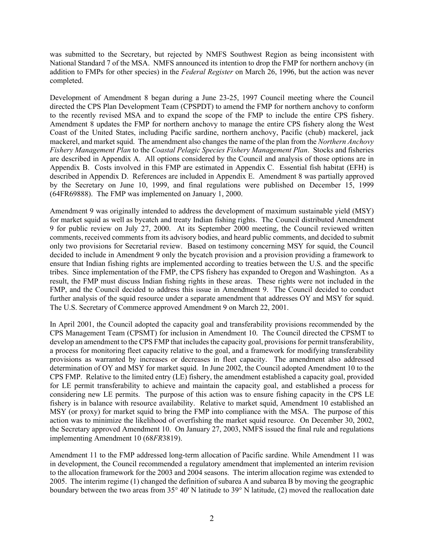was submitted to the Secretary, but rejected by NMFS Southwest Region as being inconsistent with National Standard 7 of the MSA. NMFS announced its intention to drop the FMP for northern anchovy (in addition to FMPs for other species) in the *Federal Register* on March 26, 1996, but the action was never completed.

Development of Amendment 8 began during a June 23-25, 1997 Council meeting where the Council directed the CPS Plan Development Team (CPSPDT) to amend the FMP for northern anchovy to conform to the recently revised MSA and to expand the scope of the FMP to include the entire CPS fishery. Amendment 8 updates the FMP for northern anchovy to manage the entire CPS fishery along the West Coast of the United States, including Pacific sardine, northern anchovy, Pacific (chub) mackerel, jack mackerel, and market squid. The amendment also changes the name of the plan from the *Northern Anchovy Fishery Management Plan* to the *Coastal Pelagic Species Fishery Management Plan*. Stocks and fisheries are described in Appendix A. All options considered by the Council and analysis of those options are in Appendix B. Costs involved in this FMP are estimated in Appendix C. Essential fish habitat (EFH) is described in Appendix D. References are included in Appendix E. Amendment 8 was partially approved by the Secretary on June 10, 1999, and final regulations were published on December 15, 1999 (64FR69888). The FMP was implemented on January 1, 2000.

Amendment 9 was originally intended to address the development of maximum sustainable yield (MSY) for market squid as well as bycatch and treaty Indian fishing rights. The Council distributed Amendment 9 for public review on July 27, 2000. At its September 2000 meeting, the Council reviewed written comments, received comments from its advisory bodies, and heard public comments, and decided to submit only two provisions for Secretarial review. Based on testimony concerning MSY for squid, the Council decided to include in Amendment 9 only the bycatch provision and a provision providing a framework to ensure that Indian fishing rights are implemented according to treaties between the U.S. and the specific tribes. Since implementation of the FMP, the CPS fishery has expanded to Oregon and Washington. As a result, the FMP must discuss Indian fishing rights in these areas. These rights were not included in the FMP, and the Council decided to address this issue in Amendment 9. The Council decided to conduct further analysis of the squid resource under a separate amendment that addresses OY and MSY for squid. The U.S. Secretary of Commerce approved Amendment 9 on March 22, 2001.

In April 2001, the Council adopted the capacity goal and transferability provisions recommended by the CPS Management Team (CPSMT) for inclusion in Amendment 10. The Council directed the CPSMT to develop an amendment to the CPS FMP that includes the capacity goal, provisions for permit transferability, a process for monitoring fleet capacity relative to the goal, and a framework for modifying transferability provisions as warranted by increases or decreases in fleet capacity. The amendment also addressed determination of OY and MSY for market squid. In June 2002, the Council adopted Amendment 10 to the CPS FMP. Relative to the limited entry (LE) fishery, the amendment established a capacity goal, provided for LE permit transferability to achieve and maintain the capacity goal, and established a process for considering new LE permits. The purpose of this action was to ensure fishing capacity in the CPS LE fishery is in balance with resource availability. Relative to market squid, Amendment 10 established an MSY (or proxy) for market squid to bring the FMP into compliance with the MSA. The purpose of this action was to minimize the likelihood of overfishing the market squid resource. On December 30, 2002, the Secretary approved Amendment 10. On January 27, 2003, NMFS issued the final rule and regulations implementing Amendment 10 (68*FR*3819).

Amendment 11 to the FMP addressed long-term allocation of Pacific sardine. While Amendment 11 was in development, the Council recommended a regulatory amendment that implemented an interim revision to the allocation framework for the 2003 and 2004 seasons. The interim allocation regime was extended to 2005. The interim regime (1) changed the definition of subarea A and subarea B by moving the geographic boundary between the two areas from 35° 40' N latitude to 39° N latitude, (2) moved the reallocation date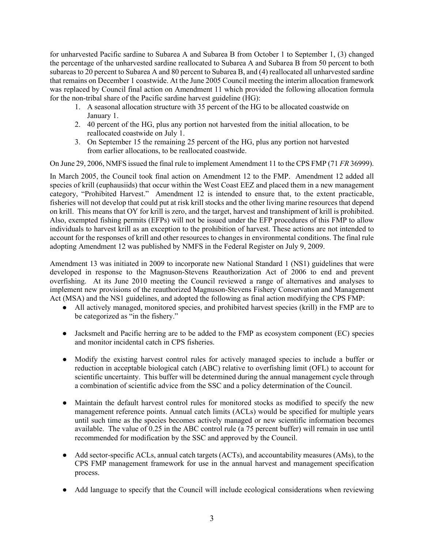for unharvested Pacific sardine to Subarea A and Subarea B from October 1 to September 1, (3) changed the percentage of the unharvested sardine reallocated to Subarea A and Subarea B from 50 percent to both subareas to 20 percent to Subarea A and 80 percent to Subarea B, and (4) reallocated all unharvested sardine that remains on December 1 coastwide. At the June 2005 Council meeting the interim allocation framework was replaced by Council final action on Amendment 11 which provided the following allocation formula for the non-tribal share of the Pacific sardine harvest guideline (HG):

- 1. A seasonal allocation structure with 35 percent of the HG to be allocated coastwide on January 1.
- 2. 40 percent of the HG, plus any portion not harvested from the initial allocation, to be reallocated coastwide on July 1.
- 3. On September 15 the remaining 25 percent of the HG, plus any portion not harvested from earlier allocations, to be reallocated coastwide.

On June 29, 2006, NMFS issued the final rule to implement Amendment 11 to the CPS FMP (71 *FR* 36999).

In March 2005, the Council took final action on Amendment 12 to the FMP. Amendment 12 added all species of krill (euphausiids) that occur within the West Coast EEZ and placed them in a new management category, "Prohibited Harvest." Amendment 12 is intended to ensure that, to the extent practicable, fisheries will not develop that could put at risk krill stocks and the other living marine resources that depend on krill. This means that OY for krill is zero, and the target, harvest and transhipment of krill is prohibited. Also, exempted fishing permits (EFPs) will not be issued under the EFP procedures of this FMP to allow individuals to harvest krill as an exception to the prohibition of harvest. These actions are not intended to account for the responses of krill and other resources to changes in environmental conditions. The final rule adopting Amendment 12 was published by NMFS in the Federal Register on July 9, 2009.

Amendment 13 was initiated in 2009 to incorporate new National Standard 1 (NS1) guidelines that were developed in response to the Magnuson-Stevens Reauthorization Act of 2006 to end and prevent overfishing. At its June 2010 meeting the Council reviewed a range of alternatives and analyses to implement new provisions of the reauthorized Magnuson-Stevens Fishery Conservation and Management Act (MSA) and the NS1 guidelines, and adopted the following as final action modifying the CPS FMP:

- All actively managed, monitored species, and prohibited harvest species (krill) in the FMP are to be categorized as "in the fishery."
- Jacksmelt and Pacific herring are to be added to the FMP as ecosystem component (EC) species and monitor incidental catch in CPS fisheries.
- Modify the existing harvest control rules for actively managed species to include a buffer or reduction in acceptable biological catch (ABC) relative to overfishing limit (OFL) to account for scientific uncertainty. This buffer will be determined during the annual management cycle through a combination of scientific advice from the SSC and a policy determination of the Council.
- Maintain the default harvest control rules for monitored stocks as modified to specify the new management reference points. Annual catch limits (ACLs) would be specified for multiple years until such time as the species becomes actively managed or new scientific information becomes available. The value of 0.25 in the ABC control rule (a 75 percent buffer) will remain in use until recommended for modification by the SSC and approved by the Council.
- Add sector-specific ACLs, annual catch targets (ACTs), and accountability measures (AMs), to the CPS FMP management framework for use in the annual harvest and management specification process.
- Add language to specify that the Council will include ecological considerations when reviewing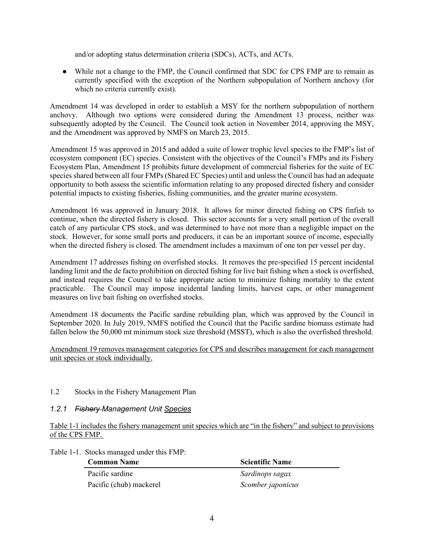and/or adopting status determination criteria (SDCs), ACTs, and ACTs.

● While not a change to the FMP, the Council confirmed that SDC for CPS FMP are to remain as currently specified with the exception of the Northern subpopulation of Northern anchovy (for which no criteria currently exist).

Amendment 14 was developed in order to establish a MSY for the northern subpopulation of northern anchovy. Although two options were considered during the Amendment 13 process, neither was subsequently adopted by the Council. The Council took action in November 2014, approving the MSY, and the Amendment was approved by NMFS on March 23, 2015.

Amendment 15 was approved in 2015 and added a suite of lower trophic level species to the FMP's list of ecosystem component (EC) species. Consistent with the objectives of the Council's FMPs and its Fishery Ecosystem Plan, Amendment 15 prohibits future development of commercial fisheries for the suite of EC species shared between all four FMPs (Shared EC Species) until and unless the Council has had an adequate opportunity to both assess the scientific information relating to any proposed directed fishery and consider potential impacts to existing fisheries, fishing communities, and the greater marine ecosystem.

Amendment 16 was approved in January 2018. It allows for minor directed fishing on CPS finfish to continue, when the directed fishery is closed. This sector accounts for a very small portion of the overall catch of any particular CPS stock, and was determined to have not more than a negligible impact on the stock. However, for some small ports and producers, it can be an important source of income, especially when the directed fishery is closed. The amendment includes a maximum of one ton per vessel per day.

Amendment 17 addresses fishing on overfished stocks. It removes the pre-specified 15 percent incidental landing limit and the de facto prohibition on directed fishing for live bait fishing when a stock is overfished, and instead requires the Council to take appropriate action to minimize fishing mortality to the extent practicable. The Council may impose incidental landing limits, harvest caps, or other management measures on live bait fishing on overfished stocks.

Amendment 18 documents the Pacific sardine rebuilding plan, which was approved by the Council in September 2020. In July 2019, NMFS notified the Council that the Pacific sardine biomass estimate had fallen below the 50,000 mt minimum stock size threshold (MSST), which is also the overfished threshold.

#### 1.2 Stocks in the Fishery Management Plan

#### <span id="page-9-0"></span>*1.2.1 Fishery Management Unit Species*

Table 1-1 includes the fishery management unit species which are "in the fishery" and subject to provisions of the CPS FMP.

Table 1-1. Stocks managed under this FMP:

| <b>Common Name</b>      | <b>Scientific Name</b> |
|-------------------------|------------------------|
| Pacific sardine         | Sardinops sagax        |
| Pacific (chub) mackerel | Scomber japonicus      |

Amendment 19 removes management categories for CPS and describes management for each management unit species or stock individually.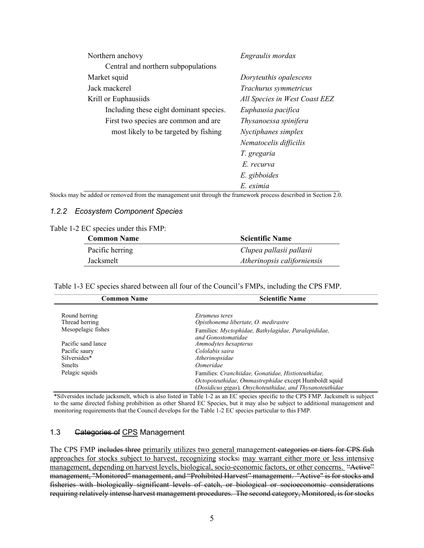| Northern anchovy                        | Engraulis mordax              |
|-----------------------------------------|-------------------------------|
| Central and northern subpopulations     |                               |
| Market squid                            | Doryteuthis opalescens        |
| Jack mackerel                           | Trachurus symmetricus         |
| Krill or Euphausiids                    | All Species in West Coast EEZ |
| Including these eight dominant species. | Euphausia pacifica            |
| First two species are common and are    | Thysanoessa spinifera         |
| most likely to be targeted by fishing   | Nyctiphanes simplex           |
|                                         | Nematocelis difficilis        |
|                                         | T. gregaria                   |
|                                         | E. recurva                    |
|                                         | E. gibboides                  |
|                                         | E. eximia                     |

Stocks may be added or removed from the management unit through the framework process described in Section 2.0.

#### <span id="page-10-0"></span>*1.2.2 Ecosystem Component Species*

|  | Table 1-2 EC species under this FMP: |  |  |
|--|--------------------------------------|--|--|
|  |                                      |  |  |

| <b>Common Name</b> | <b>Scientific Name</b>      |
|--------------------|-----------------------------|
| Pacific herring    | Clupea pallasii pallasii    |
| Jacksmelt          | Atherinopsis californiensis |

Table 1-3 EC species shared between all four of the Council's FMPs, including the CPS FMP.

| <b>Common Name</b> | <b>Scientific Name</b>                                                    |
|--------------------|---------------------------------------------------------------------------|
|                    |                                                                           |
| Round herring      | <i>Etrumeus teres</i>                                                     |
| Thread herring     | Opisthonema libertate, O. medirastre                                      |
| Mesopelagic fishes | Families: Myctophidae, Bathylagidae, Paralepididae,<br>and Gonostomatidae |
| Pacific sand lance | Ammodytes hexapterus                                                      |
| Pacific saury      | Cololabis saira                                                           |
| Silversides*       | Atherinopsidae                                                            |
| <b>Smelts</b>      | Osmeridae                                                                 |
| Pelagic squids     | Families: Cranchiidae, Gonatidae, Histioteuthidae,                        |
|                    | Octopoteuthidae, Ommastrephidae except Humboldt squid                     |
|                    | (Dosidicus gigas), Onychoteuthidae, and Thysanoteuthidae                  |

\*Silversides include jacksmelt, which is also listed in Table 1-2 as an EC species specific to the CPS FMP. Jacksmelt is subject to the same directed fishing prohibition as other Shared EC Species, but it may also be subject to additional management and monitoring requirements that the Council develops for the Table 1-2 EC species particular to this FMP.

#### <span id="page-10-1"></span>1.3 Categories of CPS Management

The CPS FMP includes three primarily utilizes two general management categories or tiers for CPS fish approaches for stocks subject to harvest, recognizing stocks: may warrant either more or less intensive management, depending on harvest levels, biological, socio-economic factors, or other concerns. "Active" management, "Monitored" management, and "Prohibited Harvest" management. "Active" is for stocks and fisheries with biologically significant levels of catch, or biological or socioeconomic considerations requiring relatively intense harvest management procedures. The second category, Monitored, is for stocks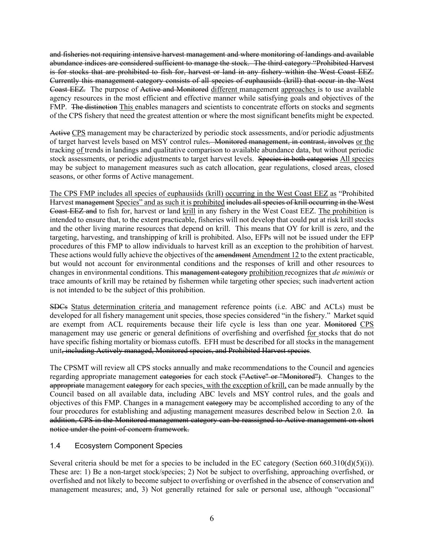and fisheries not requiring intensive harvest management and where monitoring of landings and available abundance indices are considered sufficient to manage the stock. The third category "Prohibited Harvest is for stocks that are prohibited to fish for, harvest or land in any fishery within the West Coast EEZ. Currently this management category consists of all species of euphausiids (krill) that occur in the West Coast EEZ. The purpose of Active and Monitored different management approaches is to use available agency resources in the most efficient and effective manner while satisfying goals and objectives of the FMP. The distinction This enables managers and scientists to concentrate efforts on stocks and segments of the CPS fishery that need the greatest attention or where the most significant benefits might be expected.

Active CPS management may be characterized by periodic stock assessments, and/or periodic adjustments of target harvest levels based on MSY control rules. Monitored management, in contrast, involves or the tracking of trends in landings and qualitative comparison to available abundance data, but without periodic stock assessments, or periodic adjustments to target harvest levels. Species in both categories All species may be subject to management measures such as catch allocation, gear regulations, closed areas, closed seasons, or other forms of Active management.

The CPS FMP includes all species of euphausiids (krill) occurring in the West Coast EEZ as "Prohibited Harvest management Species" and as such it is prohibited includes all species of krill occurring in the West Coast EEZ and to fish for, harvest or land krill in any fishery in the West Coast EEZ. The prohibition is intended to ensure that, to the extent practicable, fisheries will not develop that could put at risk krill stocks and the other living marine resources that depend on krill. This means that OY for krill is zero, and the targeting, harvesting, and transhipping of krill is prohibited. Also, EFPs will not be issued under the EFP procedures of this FMP to allow individuals to harvest krill as an exception to the prohibition of harvest. These actions would fully achieve the objectives of the amendment Amendment 12 to the extent practicable, but would not account for environmental conditions and the responses of krill and other resources to changes in environmental conditions. This management category prohibition recognizes that *de minimis* or trace amounts of krill may be retained by fishermen while targeting other species; such inadvertent action is not intended to be the subject of this prohibition.

SDCs Status determination criteria and management reference points (i.e. ABC and ACLs) must be developed for all fishery management unit species, those species considered "in the fishery." Market squid are exempt from ACL requirements because their life cycle is less than one year. Monitored CPS management may use generic or general definitions of overfishing and overfished for stocks that do not have specific fishing mortality or biomass cutoffs. EFH must be described for all stocks in the management unit, including Actively managed, Monitored species, and Prohibited Harvest species.

The CPSMT will review all CPS stocks annually and make recommendations to the Council and agencies regarding appropriate management eategories for each stock ("Active" or "Monitored"). Changes to the appropriate management eategory for each species, with the exception of krill, can be made annually by the Council based on all available data, including ABC levels and MSY control rules, and the goals and objectives of this FMP. Changes in a management eategory may be accomplished according to any of the four procedures for establishing and adjusting management measures described below in Section 2.0. In addition, CPS in the Monitored management category can be reassigned to Active management on short notice under the point-of-concern framework.

#### <span id="page-11-0"></span>1.4 Ecosystem Component Species

Several criteria should be met for a species to be included in the EC category (Section  $660.310(d)(5)(i)$ ). These are: 1) Be a non-target stock/species; 2) Not be subject to overfishing, approaching overfished, or overfished and not likely to become subject to overfishing or overfished in the absence of conservation and management measures; and, 3) Not generally retained for sale or personal use, although "occasional"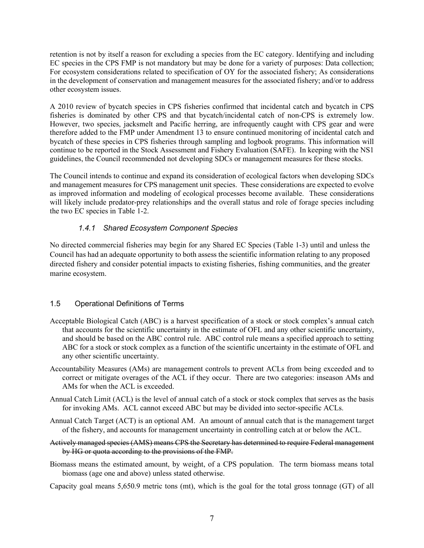retention is not by itself a reason for excluding a species from the EC category. Identifying and including EC species in the CPS FMP is not mandatory but may be done for a variety of purposes: Data collection; For ecosystem considerations related to specification of OY for the associated fishery; As considerations in the development of conservation and management measures for the associated fishery; and/or to address other ecosystem issues.

A 2010 review of bycatch species in CPS fisheries confirmed that incidental catch and bycatch in CPS fisheries is dominated by other CPS and that bycatch/incidental catch of non-CPS is extremely low. However, two species, jacksmelt and Pacific herring, are infrequently caught with CPS gear and were therefore added to the FMP under Amendment 13 to ensure continued monitoring of incidental catch and bycatch of these species in CPS fisheries through sampling and logbook programs. This information will continue to be reported in the Stock Assessment and Fishery Evaluation (SAFE). In keeping with the NS1 guidelines, the Council recommended not developing SDCs or management measures for these stocks.

The Council intends to continue and expand its consideration of ecological factors when developing SDCs and management measures for CPS management unit species. These considerations are expected to evolve as improved information and modeling of ecological processes become available. These considerations will likely include predator-prey relationships and the overall status and role of forage species including the two EC species in Table 1-2.

# *1.4.1 Shared Ecosystem Component Species*

<span id="page-12-0"></span>No directed commercial fisheries may begin for any Shared EC Species (Table 1-3) until and unless the Council has had an adequate opportunity to both assess the scientific information relating to any proposed directed fishery and consider potential impacts to existing fisheries, fishing communities, and the greater marine ecosystem.

#### <span id="page-12-1"></span>1.5 Operational Definitions of Terms

- Acceptable Biological Catch (ABC) is a harvest specification of a stock or stock complex's annual catch that accounts for the scientific uncertainty in the estimate of OFL and any other scientific uncertainty, and should be based on the ABC control rule. ABC control rule means a specified approach to setting ABC for a stock or stock complex as a function of the scientific uncertainty in the estimate of OFL and any other scientific uncertainty.
- Accountability Measures (AMs) are management controls to prevent ACLs from being exceeded and to correct or mitigate overages of the ACL if they occur. There are two categories: inseason AMs and AMs for when the ACL is exceeded.
- Annual Catch Limit (ACL) is the level of annual catch of a stock or stock complex that serves as the basis for invoking AMs. ACL cannot exceed ABC but may be divided into sector-specific ACLs.
- Annual Catch Target (ACT) is an optional AM. An amount of annual catch that is the management target of the fishery, and accounts for management uncertainty in controlling catch at or below the ACL.
- Actively managed species (AMS) means CPS the Secretary has determined to require Federal management by HG or quota according to the provisions of the FMP.
- Biomass means the estimated amount, by weight, of a CPS population. The term biomass means total biomass (age one and above) unless stated otherwise.
- Capacity goal means 5,650.9 metric tons (mt), which is the goal for the total gross tonnage (GT) of all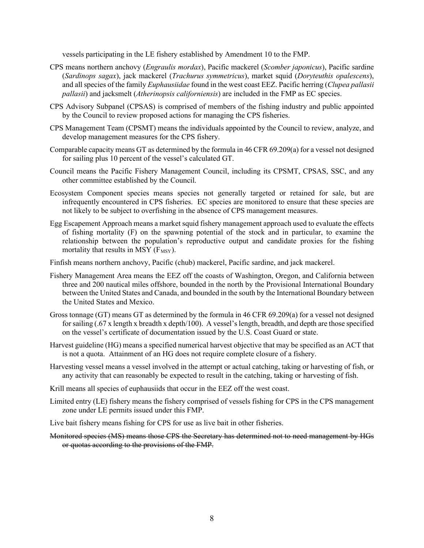vessels participating in the LE fishery established by Amendment 10 to the FMP.

- CPS means northern anchovy (*Engraulis mordax*), Pacific mackerel (*Scomber japonicus*), Pacific sardine (*Sardinops sagax*), jack mackerel (*Trachurus symmetricus*), market squid (*Doryteuthis opalescens*), and all species of the family *Euphausiidae* found in the west coast EEZ. Pacific herring (*Clupea pallasii pallasii*) and jacksmelt (*Atherinopsis californiensis*) are included in the FMP as EC species.
- CPS Advisory Subpanel (CPSAS) is comprised of members of the fishing industry and public appointed by the Council to review proposed actions for managing the CPS fisheries.
- CPS Management Team (CPSMT) means the individuals appointed by the Council to review, analyze, and develop management measures for the CPS fishery.
- Comparable capacity means GT as determined by the formula in 46 CFR 69.209(a) for a vessel not designed for sailing plus 10 percent of the vessel's calculated GT.
- Council means the Pacific Fishery Management Council, including its CPSMT, CPSAS, SSC, and any other committee established by the Council.
- Ecosystem Component species means species not generally targeted or retained for sale, but are infrequently encountered in CPS fisheries. EC species are monitored to ensure that these species are not likely to be subject to overfishing in the absence of CPS management measures.
- Egg Escapement Approach means a market squid fishery management approach used to evaluate the effects of fishing mortality (F) on the spawning potential of the stock and in particular, to examine the relationship between the population's reproductive output and candidate proxies for the fishing mortality that results in MSY  $(F_{MSY})$ .
- Finfish means northern anchovy, Pacific (chub) mackerel, Pacific sardine, and jack mackerel.
- Fishery Management Area means the EEZ off the coasts of Washington, Oregon, and California between three and 200 nautical miles offshore, bounded in the north by the Provisional International Boundary between the United States and Canada, and bounded in the south by the International Boundary between the United States and Mexico.
- Gross tonnage (GT) means GT as determined by the formula in 46 CFR 69.209(a) for a vessel not designed for sailing (.67 x length x breadth x depth/100). A vessel's length, breadth, and depth are those specified on the vessel's certificate of documentation issued by the U.S. Coast Guard or state.
- Harvest guideline (HG) means a specified numerical harvest objective that may be specified as an ACT that is not a quota. Attainment of an HG does not require complete closure of a fishery.
- Harvesting vessel means a vessel involved in the attempt or actual catching, taking or harvesting of fish, or any activity that can reasonably be expected to result in the catching, taking or harvesting of fish.
- Krill means all species of euphausiids that occur in the EEZ off the west coast.
- Limited entry (LE) fishery means the fishery comprised of vessels fishing for CPS in the CPS management zone under LE permits issued under this FMP.
- Live bait fishery means fishing for CPS for use as live bait in other fisheries.
- Monitored species (MS) means those CPS the Secretary has determined not to need management by HGs or quotas according to the provisions of the FMP.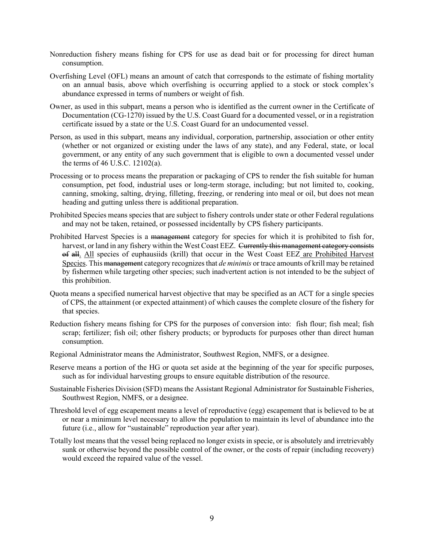- Nonreduction fishery means fishing for CPS for use as dead bait or for processing for direct human consumption.
- Overfishing Level (OFL) means an amount of catch that corresponds to the estimate of fishing mortality on an annual basis, above which overfishing is occurring applied to a stock or stock complex's abundance expressed in terms of numbers or weight of fish.
- Owner, as used in this subpart, means a person who is identified as the current owner in the Certificate of Documentation (CG-1270) issued by the U.S. Coast Guard for a documented vessel, or in a registration certificate issued by a state or the U.S. Coast Guard for an undocumented vessel.
- Person, as used in this subpart, means any individual, corporation, partnership, association or other entity (whether or not organized or existing under the laws of any state), and any Federal, state, or local government, or any entity of any such government that is eligible to own a documented vessel under the terms of 46 U.S.C. 12102(a).
- Processing or to process means the preparation or packaging of CPS to render the fish suitable for human consumption, pet food, industrial uses or long-term storage, including; but not limited to, cooking, canning, smoking, salting, drying, filleting, freezing, or rendering into meal or oil, but does not mean heading and gutting unless there is additional preparation.
- Prohibited Species means species that are subject to fishery controls under state or other Federal regulations and may not be taken, retained, or possessed incidentally by CPS fishery participants.
- Prohibited Harvest Species is a management category for species for which it is prohibited to fish for, harvest, or land in any fishery within the West Coast EEZ. Currently this management category consists of all. All species of euphausiids (krill) that occur in the West Coast EEZ are Prohibited Harvest Species. This management category recognizes that *de minimis* or trace amounts of krill may be retained by fishermen while targeting other species; such inadvertent action is not intended to be the subject of this prohibition.
- Quota means a specified numerical harvest objective that may be specified as an ACT for a single species of CPS, the attainment (or expected attainment) of which causes the complete closure of the fishery for that species.
- Reduction fishery means fishing for CPS for the purposes of conversion into: fish flour; fish meal; fish scrap; fertilizer; fish oil; other fishery products; or byproducts for purposes other than direct human consumption.
- Regional Administrator means the Administrator, Southwest Region, NMFS, or a designee.
- Reserve means a portion of the HG or quota set aside at the beginning of the year for specific purposes, such as for individual harvesting groups to ensure equitable distribution of the resource.
- Sustainable Fisheries Division (SFD) means the Assistant Regional Administrator for Sustainable Fisheries, Southwest Region, NMFS, or a designee.
- Threshold level of egg escapement means a level of reproductive (egg) escapement that is believed to be at or near a minimum level necessary to allow the population to maintain its level of abundance into the future (i.e., allow for "sustainable" reproduction year after year).
- Totally lost means that the vessel being replaced no longer exists in specie, or is absolutely and irretrievably sunk or otherwise beyond the possible control of the owner, or the costs of repair (including recovery) would exceed the repaired value of the vessel.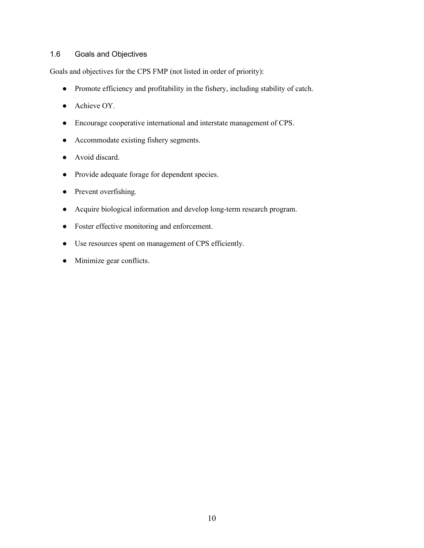#### <span id="page-15-0"></span>1.6 Goals and Objectives

Goals and objectives for the CPS FMP (not listed in order of priority):

- Promote efficiency and profitability in the fishery, including stability of catch.
- Achieve OY.
- Encourage cooperative international and interstate management of CPS.
- Accommodate existing fishery segments.
- Avoid discard.
- Provide adequate forage for dependent species.
- Prevent overfishing.
- Acquire biological information and develop long-term research program.
- Foster effective monitoring and enforcement.
- Use resources spent on management of CPS efficiently.
- Minimize gear conflicts.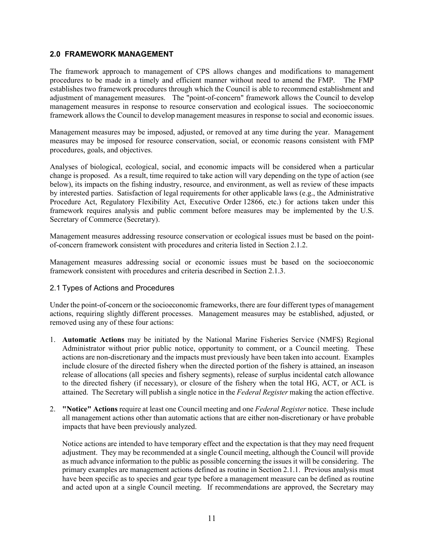#### <span id="page-16-0"></span>**2.0 FRAMEWORK MANAGEMENT**

The framework approach to management of CPS allows changes and modifications to management procedures to be made in a timely and efficient manner without need to amend the FMP. The FMP establishes two framework procedures through which the Council is able to recommend establishment and adjustment of management measures. The "point-of-concern" framework allows the Council to develop management measures in response to resource conservation and ecological issues. The socioeconomic framework allows the Council to develop management measures in response to social and economic issues.

Management measures may be imposed, adjusted, or removed at any time during the year. Management measures may be imposed for resource conservation, social, or economic reasons consistent with FMP procedures, goals, and objectives.

Analyses of biological, ecological, social, and economic impacts will be considered when a particular change is proposed. As a result, time required to take action will vary depending on the type of action (see below), its impacts on the fishing industry, resource, and environment, as well as review of these impacts by interested parties. Satisfaction of legal requirements for other applicable laws (e.g., the Administrative Procedure Act, Regulatory Flexibility Act, Executive Order 12866, etc.) for actions taken under this framework requires analysis and public comment before measures may be implemented by the U.S. Secretary of Commerce (Secretary).

Management measures addressing resource conservation or ecological issues must be based on the pointof-concern framework consistent with procedures and criteria listed in Section 2.1.2.

Management measures addressing social or economic issues must be based on the socioeconomic framework consistent with procedures and criteria described in Section 2.1.3.

#### 2.1 Types of Actions and Procedures

Under the point-of-concern or the socioeconomic frameworks, there are four different types of management actions, requiring slightly different processes. Management measures may be established, adjusted, or removed using any of these four actions:

- 1. **Automatic Actions** may be initiated by the National Marine Fisheries Service (NMFS) Regional Administrator without prior public notice, opportunity to comment, or a Council meeting. These actions are non-discretionary and the impacts must previously have been taken into account. Examples include closure of the directed fishery when the directed portion of the fishery is attained, an inseason release of allocations (all species and fishery segments), release of surplus incidental catch allowance to the directed fishery (if necessary), or closure of the fishery when the total HG, ACT, or ACL is attained. The Secretary will publish a single notice in the *Federal Register* making the action effective.
- 2. **"Notice" Actions** require at least one Council meeting and one *Federal Register* notice. These include all management actions other than automatic actions that are either non-discretionary or have probable impacts that have been previously analyzed.

Notice actions are intended to have temporary effect and the expectation is that they may need frequent adjustment. They may be recommended at a single Council meeting, although the Council will provide as much advance information to the public as possible concerning the issues it will be considering. The primary examples are management actions defined as routine in Section 2.1.1. Previous analysis must have been specific as to species and gear type before a management measure can be defined as routine and acted upon at a single Council meeting. If recommendations are approved, the Secretary may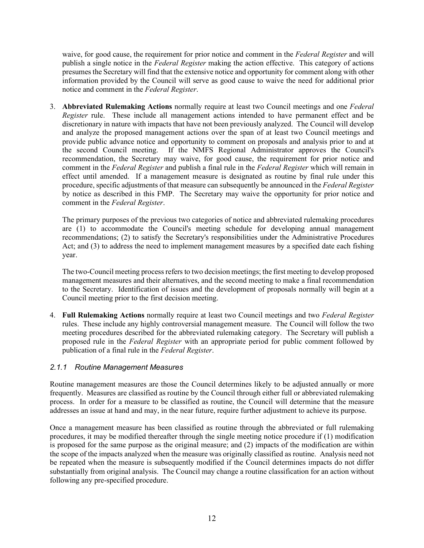waive, for good cause, the requirement for prior notice and comment in the *Federal Register* and will publish a single notice in the *Federal Register* making the action effective. This category of actions presumes the Secretary will find that the extensive notice and opportunity for comment along with other information provided by the Council will serve as good cause to waive the need for additional prior notice and comment in the *Federal Register*.

3. **Abbreviated Rulemaking Actions** normally require at least two Council meetings and one *Federal Register* rule. These include all management actions intended to have permanent effect and be discretionary in nature with impacts that have not been previously analyzed. The Council will develop and analyze the proposed management actions over the span of at least two Council meetings and provide public advance notice and opportunity to comment on proposals and analysis prior to and at the second Council meeting. If the NMFS Regional Administrator approves the Council's recommendation, the Secretary may waive, for good cause, the requirement for prior notice and comment in the *Federal Register* and publish a final rule in the *Federal Register* which will remain in effect until amended. If a management measure is designated as routine by final rule under this procedure, specific adjustments of that measure can subsequently be announced in the *Federal Register* by notice as described in this FMP. The Secretary may waive the opportunity for prior notice and comment in the *Federal Register*.

The primary purposes of the previous two categories of notice and abbreviated rulemaking procedures are (1) to accommodate the Council's meeting schedule for developing annual management recommendations; (2) to satisfy the Secretary's responsibilities under the Administrative Procedures Act; and (3) to address the need to implement management measures by a specified date each fishing year.

The two-Council meeting process refers to two decision meetings; the first meeting to develop proposed management measures and their alternatives, and the second meeting to make a final recommendation to the Secretary. Identification of issues and the development of proposals normally will begin at a Council meeting prior to the first decision meeting.

4. **Full Rulemaking Actions** normally require at least two Council meetings and two *Federal Register* rules. These include any highly controversial management measure. The Council will follow the two meeting procedures described for the abbreviated rulemaking category. The Secretary will publish a proposed rule in the *Federal Register* with an appropriate period for public comment followed by publication of a final rule in the *Federal Register*.

#### <span id="page-17-0"></span>*2.1.1 Routine Management Measures*

Routine management measures are those the Council determines likely to be adjusted annually or more frequently. Measures are classified as routine by the Council through either full or abbreviated rulemaking process. In order for a measure to be classified as routine, the Council will determine that the measure addresses an issue at hand and may, in the near future, require further adjustment to achieve its purpose.

Once a management measure has been classified as routine through the abbreviated or full rulemaking procedures, it may be modified thereafter through the single meeting notice procedure if (1) modification is proposed for the same purpose as the original measure; and (2) impacts of the modification are within the scope of the impacts analyzed when the measure was originally classified as routine. Analysis need not be repeated when the measure is subsequently modified if the Council determines impacts do not differ substantially from original analysis. The Council may change a routine classification for an action without following any pre-specified procedure.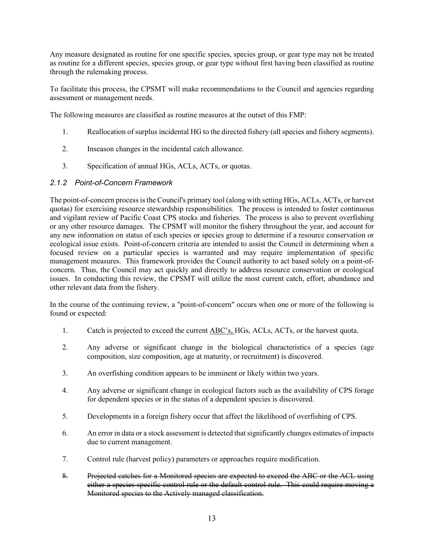Any measure designated as routine for one specific species, species group, or gear type may not be treated as routine for a different species, species group, or gear type without first having been classified as routine through the rulemaking process.

To facilitate this process, the CPSMT will make recommendations to the Council and agencies regarding assessment or management needs.

The following measures are classified as routine measures at the outset of this FMP:

- 1. Reallocation of surplus incidental HG to the directed fishery (all species and fishery segments).
- 2. Inseason changes in the incidental catch allowance.
- 3. Specification of annual HGs, ACLs, ACTs, or quotas.

#### <span id="page-18-0"></span>*2.1.2 Point-of-Concern Framework*

The point-of-concern process is the Council's primary tool (along with setting HGs, ACLs, ACTs, or harvest quotas) for exercising resource stewardship responsibilities. The process is intended to foster continuous and vigilant review of Pacific Coast CPS stocks and fisheries. The process is also to prevent overfishing or any other resource damages. The CPSMT will monitor the fishery throughout the year, and account for any new information on status of each species or species group to determine if a resource conservation or ecological issue exists. Point-of-concern criteria are intended to assist the Council in determining when a focused review on a particular species is warranted and may require implementation of specific management measures. This framework provides the Council authority to act based solely on a point-ofconcern. Thus, the Council may act quickly and directly to address resource conservation or ecological issues. In conducting this review, the CPSMT will utilize the most current catch, effort, abundance and other relevant data from the fishery.

In the course of the continuing review, a "point-of-concern" occurs when one or more of the following is found or expected:

- 1. Catch is projected to exceed the current ABC's, HGs, ACLs, ACTs, or the harvest quota.
- 2. Any adverse or significant change in the biological characteristics of a species (age composition, size composition, age at maturity, or recruitment) is discovered.
- 3. An overfishing condition appears to be imminent or likely within two years.
- 4. Any adverse or significant change in ecological factors such as the availability of CPS forage for dependent species or in the status of a dependent species is discovered.
- 5. Developments in a foreign fishery occur that affect the likelihood of overfishing of CPS.
- 6. An error in data or a stock assessment is detected that significantly changes estimates of impacts due to current management.
- 7. Control rule (harvest policy) parameters or approaches require modification.
- 8. Projected catches for a Monitored species are expected to exceed the ABC or the ACL using either a species-specific control rule or the default control rule. This could require moving a Monitored species to the Actively managed classification.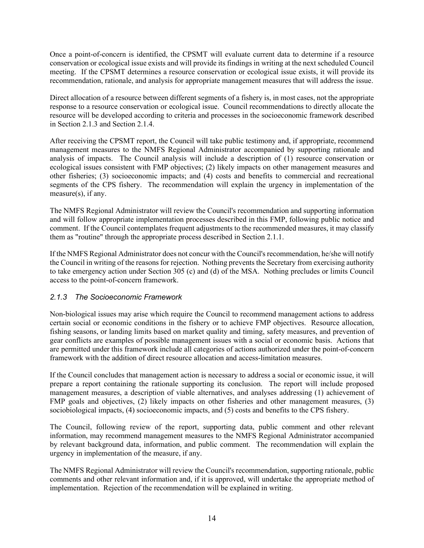Once a point-of-concern is identified, the CPSMT will evaluate current data to determine if a resource conservation or ecological issue exists and will provide its findings in writing at the next scheduled Council meeting. If the CPSMT determines a resource conservation or ecological issue exists, it will provide its recommendation, rationale, and analysis for appropriate management measures that will address the issue.

Direct allocation of a resource between different segments of a fishery is, in most cases, not the appropriate response to a resource conservation or ecological issue. Council recommendations to directly allocate the resource will be developed according to criteria and processes in the socioeconomic framework described in Section 2.1.3 and Section 2.1.4.

After receiving the CPSMT report, the Council will take public testimony and, if appropriate, recommend management measures to the NMFS Regional Administrator accompanied by supporting rationale and analysis of impacts. The Council analysis will include a description of (1) resource conservation or ecological issues consistent with FMP objectives; (2) likely impacts on other management measures and other fisheries; (3) socioeconomic impacts; and (4) costs and benefits to commercial and recreational segments of the CPS fishery. The recommendation will explain the urgency in implementation of the measure(s), if any.

The NMFS Regional Administrator will review the Council's recommendation and supporting information and will follow appropriate implementation processes described in this FMP, following public notice and comment. If the Council contemplates frequent adjustments to the recommended measures, it may classify them as "routine" through the appropriate process described in Section 2.1.1.

If the NMFS Regional Administrator does not concur with the Council's recommendation, he/she will notify the Council in writing of the reasons for rejection. Nothing prevents the Secretary from exercising authority to take emergency action under Section 305 (c) and (d) of the MSA. Nothing precludes or limits Council access to the point-of-concern framework.

# <span id="page-19-0"></span>*2.1.3 The Socioeconomic Framework*

Non-biological issues may arise which require the Council to recommend management actions to address certain social or economic conditions in the fishery or to achieve FMP objectives. Resource allocation, fishing seasons, or landing limits based on market quality and timing, safety measures, and prevention of gear conflicts are examples of possible management issues with a social or economic basis. Actions that are permitted under this framework include all categories of actions authorized under the point-of-concern framework with the addition of direct resource allocation and access-limitation measures.

If the Council concludes that management action is necessary to address a social or economic issue, it will prepare a report containing the rationale supporting its conclusion. The report will include proposed management measures, a description of viable alternatives, and analyses addressing (1) achievement of FMP goals and objectives, (2) likely impacts on other fisheries and other management measures, (3) sociobiological impacts, (4) socioeconomic impacts, and (5) costs and benefits to the CPS fishery.

The Council, following review of the report, supporting data, public comment and other relevant information, may recommend management measures to the NMFS Regional Administrator accompanied by relevant background data, information, and public comment. The recommendation will explain the urgency in implementation of the measure, if any.

The NMFS Regional Administrator will review the Council's recommendation, supporting rationale, public comments and other relevant information and, if it is approved, will undertake the appropriate method of implementation. Rejection of the recommendation will be explained in writing.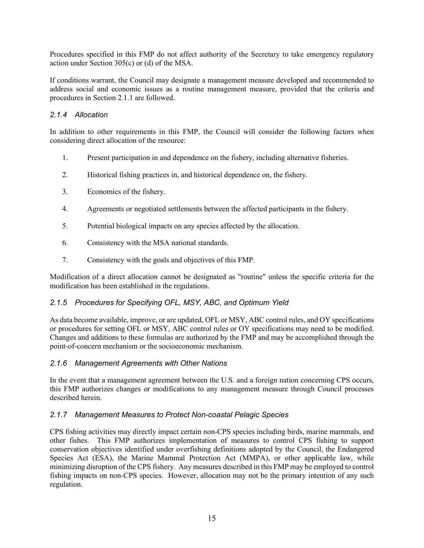Procedures specified in this FMP do not affect authority of the Secretary to take emergency regulatory action under Section 305(c) or (d) of the MSA.

If conditions warrant, the Council may designate a management measure developed and recommended to address social and economic issues as a routine management measure, provided that the criteria and procedures in Section 2.1.1 are followed.

#### <span id="page-20-0"></span>*2.1.4 Allocation*

In addition to other requirements in this FMP, the Council will consider the following factors when considering direct allocation of the resource:

- 1. Present participation in and dependence on the fishery, including alternative fisheries.
- 2. Historical fishing practices in, and historical dependence on, the fishery.
- 3. Economics of the fishery.
- 4. Agreements or negotiated settlements between the affected participants in the fishery.
- 5. Potential biological impacts on any species affected by the allocation.
- 6. Consistency with the MSA national standards.
- 7. Consistency with the goals and objectives of this FMP.

Modification of a direct allocation cannot be designated as "routine" unless the specific criteria for the modification has been established in the regulations.

# <span id="page-20-1"></span>*2.1.5 Procedures for Specifying OFL, MSY, ABC, and Optimum Yield*

As data become available, improve, or are updated, OFL or MSY, ABC control rules, and OY specifications or procedures for setting OFL or MSY, ABC control rules or OY specifications may need to be modified. Changes and additions to these formulas are authorized by the FMP and may be accomplished through the point-of-concern mechanism or the socioeconomic mechanism.

#### <span id="page-20-2"></span>*2.1.6 Management Agreements with Other Nations*

In the event that a management agreement between the U.S. and a foreign nation concerning CPS occurs, this FMP authorizes changes or modifications to any management measure through Council processes described herein.

#### <span id="page-20-3"></span>*2.1.7 Management Measures to Protect Non-coastal Pelagic Species*

CPS fishing activities may directly impact certain non-CPS species including birds, marine mammals, and other fishes. This FMP authorizes implementation of measures to control CPS fishing to support conservation objectives identified under overfishing definitions adopted by the Council, the Endangered Species Act (ESA), the Marine Mammal Protection Act (MMPA), or other applicable law, while minimizing disruption of the CPS fishery. Any measures described in this FMP may be employed to control fishing impacts on non-CPS species. However, allocation may not be the primary intention of any such regulation.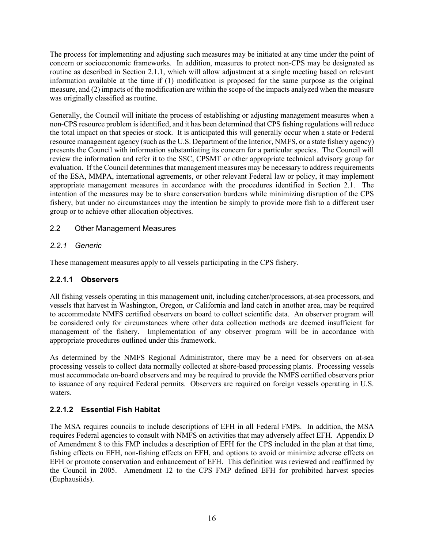The process for implementing and adjusting such measures may be initiated at any time under the point of concern or socioeconomic frameworks. In addition, measures to protect non-CPS may be designated as routine as described in Section 2.1.1, which will allow adjustment at a single meeting based on relevant information available at the time if (1) modification is proposed for the same purpose as the original measure, and (2) impacts of the modification are within the scope of the impacts analyzed when the measure was originally classified as routine.

Generally, the Council will initiate the process of establishing or adjusting management measures when a non-CPS resource problem is identified, and it has been determined that CPS fishing regulations will reduce the total impact on that species or stock. It is anticipated this will generally occur when a state or Federal resource management agency (such as the U.S. Department of the Interior, NMFS, or a state fishery agency) presents the Council with information substantiating its concern for a particular species. The Council will review the information and refer it to the SSC, CPSMT or other appropriate technical advisory group for evaluation. If the Council determines that management measures may be necessary to address requirements of the ESA, MMPA, international agreements, or other relevant Federal law or policy, it may implement appropriate management measures in accordance with the procedures identified in Section 2.1. The intention of the measures may be to share conservation burdens while minimizing disruption of the CPS fishery, but under no circumstances may the intention be simply to provide more fish to a different user group or to achieve other allocation objectives.

# <span id="page-21-0"></span>2.2 Other Management Measures

# <span id="page-21-1"></span>*2.2.1 Generic*

These management measures apply to all vessels participating in the CPS fishery.

#### <span id="page-21-2"></span>**2.2.1.1 Observers**

All fishing vessels operating in this management unit, including catcher/processors, at-sea processors, and vessels that harvest in Washington, Oregon, or California and land catch in another area, may be required to accommodate NMFS certified observers on board to collect scientific data. An observer program will be considered only for circumstances where other data collection methods are deemed insufficient for management of the fishery. Implementation of any observer program will be in accordance with appropriate procedures outlined under this framework.

As determined by the NMFS Regional Administrator, there may be a need for observers on at-sea processing vessels to collect data normally collected at shore-based processing plants. Processing vessels must accommodate on-board observers and may be required to provide the NMFS certified observers prior to issuance of any required Federal permits. Observers are required on foreign vessels operating in U.S. waters.

# <span id="page-21-3"></span>**2.2.1.2 Essential Fish Habitat**

The MSA requires councils to include descriptions of EFH in all Federal FMPs. In addition, the MSA requires Federal agencies to consult with NMFS on activities that may adversely affect EFH. Appendix D of Amendment 8 to this FMP includes a description of EFH for the CPS included in the plan at that time, fishing effects on EFH, non-fishing effects on EFH, and options to avoid or minimize adverse effects on EFH or promote conservation and enhancement of EFH. This definition was reviewed and reaffirmed by the Council in 2005. Amendment 12 to the CPS FMP defined EFH for prohibited harvest species (Euphausiids).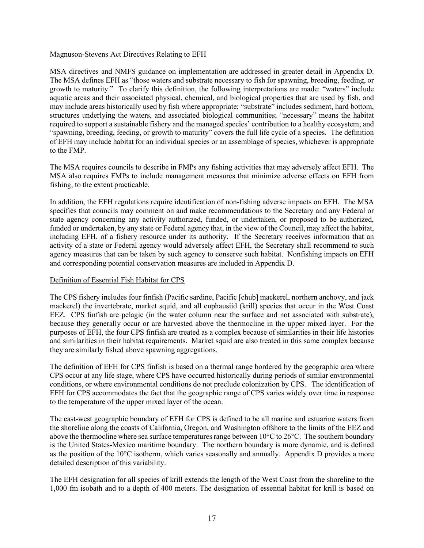#### Magnuson-Stevens Act Directives Relating to EFH

MSA directives and NMFS guidance on implementation are addressed in greater detail in Appendix D. The MSA defines EFH as "those waters and substrate necessary to fish for spawning, breeding, feeding, or growth to maturity." To clarify this definition, the following interpretations are made: "waters" include aquatic areas and their associated physical, chemical, and biological properties that are used by fish, and may include areas historically used by fish where appropriate; "substrate" includes sediment, hard bottom, structures underlying the waters, and associated biological communities; "necessary" means the habitat required to support a sustainable fishery and the managed species' contribution to a healthy ecosystem; and "spawning, breeding, feeding, or growth to maturity" covers the full life cycle of a species. The definition of EFH may include habitat for an individual species or an assemblage of species, whichever is appropriate to the FMP.

The MSA requires councils to describe in FMPs any fishing activities that may adversely affect EFH. The MSA also requires FMPs to include management measures that minimize adverse effects on EFH from fishing, to the extent practicable.

In addition, the EFH regulations require identification of non-fishing adverse impacts on EFH. The MSA specifies that councils may comment on and make recommendations to the Secretary and any Federal or state agency concerning any activity authorized, funded, or undertaken, or proposed to be authorized, funded or undertaken, by any state or Federal agency that, in the view of the Council, may affect the habitat, including EFH, of a fishery resource under its authority. If the Secretary receives information that an activity of a state or Federal agency would adversely affect EFH, the Secretary shall recommend to such agency measures that can be taken by such agency to conserve such habitat. Nonfishing impacts on EFH and corresponding potential conservation measures are included in Appendix D.

#### Definition of Essential Fish Habitat for CPS

The CPS fishery includes four finfish (Pacific sardine, Pacific [chub] mackerel, northern anchovy, and jack mackerel) the invertebrate, market squid, and all euphausiid (krill) species that occur in the West Coast EEZ. CPS finfish are pelagic (in the water column near the surface and not associated with substrate), because they generally occur or are harvested above the thermocline in the upper mixed layer. For the purposes of EFH, the four CPS finfish are treated as a complex because of similarities in their life histories and similarities in their habitat requirements. Market squid are also treated in this same complex because they are similarly fished above spawning aggregations.

The definition of EFH for CPS finfish is based on a thermal range bordered by the geographic area where CPS occur at any life stage, where CPS have occurred historically during periods of similar environmental conditions, or where environmental conditions do not preclude colonization by CPS. The identification of EFH for CPS accommodates the fact that the geographic range of CPS varies widely over time in response to the temperature of the upper mixed layer of the ocean.

The east-west geographic boundary of EFH for CPS is defined to be all marine and estuarine waters from the shoreline along the coasts of California, Oregon, and Washington offshore to the limits of the EEZ and above the thermocline where sea surface temperatures range between 10°C to 26°C. The southern boundary is the United States-Mexico maritime boundary. The northern boundary is more dynamic, and is defined as the position of the  $10^{\circ}$ C isotherm, which varies seasonally and annually. Appendix D provides a more detailed description of this variability.

The EFH designation for all species of krill extends the length of the West Coast from the shoreline to the 1,000 fm isobath and to a depth of 400 meters. The designation of essential habitat for krill is based on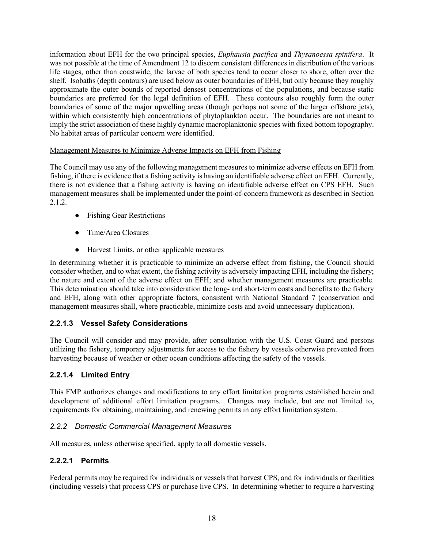information about EFH for the two principal species, *Euphausia pacifica* and *Thysanoessa spinifera*. It was not possible at the time of Amendment 12 to discern consistent differences in distribution of the various life stages, other than coastwide, the larvae of both species tend to occur closer to shore, often over the shelf. Isobaths (depth contours) are used below as outer boundaries of EFH, but only because they roughly approximate the outer bounds of reported densest concentrations of the populations, and because static boundaries are preferred for the legal definition of EFH. These contours also roughly form the outer boundaries of some of the major upwelling areas (though perhaps not some of the larger offshore jets), within which consistently high concentrations of phytoplankton occur. The boundaries are not meant to imply the strict association of these highly dynamic macroplanktonic species with fixed bottom topography. No habitat areas of particular concern were identified.

#### Management Measures to Minimize Adverse Impacts on EFH from Fishing

The Council may use any of the following management measures to minimize adverse effects on EFH from fishing, if there is evidence that a fishing activity is having an identifiable adverse effect on EFH. Currently, there is not evidence that a fishing activity is having an identifiable adverse effect on CPS EFH. Such management measures shall be implemented under the point-of-concern framework as described in Section 2.1.2.

- Fishing Gear Restrictions
- Time/Area Closures
- Harvest Limits, or other applicable measures

In determining whether it is practicable to minimize an adverse effect from fishing, the Council should consider whether, and to what extent, the fishing activity is adversely impacting EFH, including the fishery; the nature and extent of the adverse effect on EFH; and whether management measures are practicable. This determination should take into consideration the long- and short-term costs and benefits to the fishery and EFH, along with other appropriate factors, consistent with National Standard 7 (conservation and management measures shall, where practicable, minimize costs and avoid unnecessary duplication).

# <span id="page-23-0"></span>**2.2.1.3 Vessel Safety Considerations**

The Council will consider and may provide, after consultation with the U.S. Coast Guard and persons utilizing the fishery, temporary adjustments for access to the fishery by vessels otherwise prevented from harvesting because of weather or other ocean conditions affecting the safety of the vessels.

# <span id="page-23-1"></span>**2.2.1.4 Limited Entry**

This FMP authorizes changes and modifications to any effort limitation programs established herein and development of additional effort limitation programs. Changes may include, but are not limited to, requirements for obtaining, maintaining, and renewing permits in any effort limitation system.

#### <span id="page-23-2"></span>*2.2.2 Domestic Commercial Management Measures*

All measures, unless otherwise specified, apply to all domestic vessels.

#### <span id="page-23-3"></span>**2.2.2.1 Permits**

Federal permits may be required for individuals or vessels that harvest CPS, and for individuals or facilities (including vessels) that process CPS or purchase live CPS. In determining whether to require a harvesting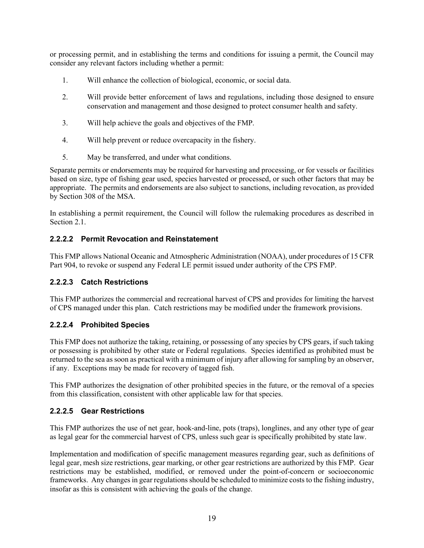or processing permit, and in establishing the terms and conditions for issuing a permit, the Council may consider any relevant factors including whether a permit:

- 1. Will enhance the collection of biological, economic, or social data.
- 2. Will provide better enforcement of laws and regulations, including those designed to ensure conservation and management and those designed to protect consumer health and safety.
- 3. Will help achieve the goals and objectives of the FMP.
- 4. Will help prevent or reduce overcapacity in the fishery.
- 5. May be transferred, and under what conditions.

Separate permits or endorsements may be required for harvesting and processing, or for vessels or facilities based on size, type of fishing gear used, species harvested or processed, or such other factors that may be appropriate. The permits and endorsements are also subject to sanctions, including revocation, as provided by Section 308 of the MSA.

In establishing a permit requirement, the Council will follow the rulemaking procedures as described in Section 2.1.

#### <span id="page-24-0"></span>**2.2.2.2 Permit Revocation and Reinstatement**

This FMP allows National Oceanic and Atmospheric Administration (NOAA), under procedures of 15 CFR Part 904, to revoke or suspend any Federal LE permit issued under authority of the CPS FMP.

#### <span id="page-24-1"></span>**2.2.2.3 Catch Restrictions**

This FMP authorizes the commercial and recreational harvest of CPS and provides for limiting the harvest of CPS managed under this plan. Catch restrictions may be modified under the framework provisions.

#### <span id="page-24-2"></span>**2.2.2.4 Prohibited Species**

This FMP does not authorize the taking, retaining, or possessing of any species by CPS gears, if such taking or possessing is prohibited by other state or Federal regulations. Species identified as prohibited must be returned to the sea as soon as practical with a minimum of injury after allowing for sampling by an observer, if any. Exceptions may be made for recovery of tagged fish.

This FMP authorizes the designation of other prohibited species in the future, or the removal of a species from this classification, consistent with other applicable law for that species.

#### <span id="page-24-3"></span>**2.2.2.5 Gear Restrictions**

This FMP authorizes the use of net gear, hook-and-line, pots (traps), longlines, and any other type of gear as legal gear for the commercial harvest of CPS, unless such gear is specifically prohibited by state law.

Implementation and modification of specific management measures regarding gear, such as definitions of legal gear, mesh size restrictions, gear marking, or other gear restrictions are authorized by this FMP. Gear restrictions may be established, modified, or removed under the point-of-concern or socioeconomic frameworks. Any changes in gear regulations should be scheduled to minimize costs to the fishing industry, insofar as this is consistent with achieving the goals of the change.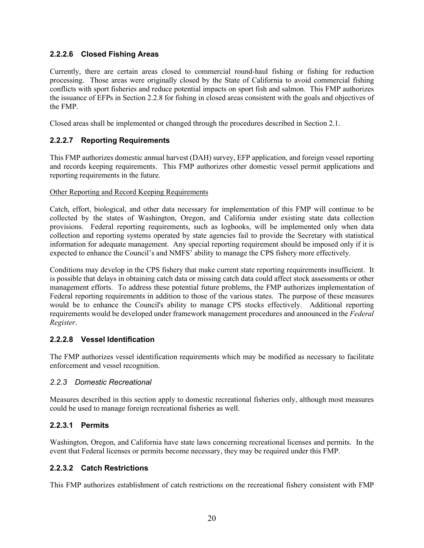# <span id="page-25-0"></span>**2.2.2.6 Closed Fishing Areas**

Currently, there are certain areas closed to commercial round-haul fishing or fishing for reduction processing. Those areas were originally closed by the State of California to avoid commercial fishing conflicts with sport fisheries and reduce potential impacts on sport fish and salmon. This FMP authorizes the issuance of EFPs in Section 2.2.8 for fishing in closed areas consistent with the goals and objectives of the FMP.

Closed areas shall be implemented or changed through the procedures described in Section 2.1.

# <span id="page-25-1"></span>**2.2.2.7 Reporting Requirements**

This FMP authorizes domestic annual harvest (DAH) survey, EFP application, and foreign vessel reporting and records keeping requirements. This FMP authorizes other domestic vessel permit applications and reporting requirements in the future.

#### Other Reporting and Record Keeping Requirements

Catch, effort, biological, and other data necessary for implementation of this FMP will continue to be collected by the states of Washington, Oregon, and California under existing state data collection provisions. Federal reporting requirements, such as logbooks, will be implemented only when data collection and reporting systems operated by state agencies fail to provide the Secretary with statistical information for adequate management. Any special reporting requirement should be imposed only if it is expected to enhance the Council's and NMFS' ability to manage the CPS fishery more effectively.

Conditions may develop in the CPS fishery that make current state reporting requirements insufficient. It is possible that delays in obtaining catch data or missing catch data could affect stock assessments or other management efforts. To address these potential future problems, the FMP authorizes implementation of Federal reporting requirements in addition to those of the various states. The purpose of these measures would be to enhance the Council's ability to manage CPS stocks effectively. Additional reporting requirements would be developed under framework management procedures and announced in the *Federal Register*.

#### <span id="page-25-2"></span>**2.2.2.8 Vessel Identification**

The FMP authorizes vessel identification requirements which may be modified as necessary to facilitate enforcement and vessel recognition.

#### <span id="page-25-3"></span>*2.2.3 Domestic Recreational*

Measures described in this section apply to domestic recreational fisheries only, although most measures could be used to manage foreign recreational fisheries as well.

#### <span id="page-25-4"></span>**2.2.3.1 Permits**

Washington, Oregon, and California have state laws concerning recreational licenses and permits. In the event that Federal licenses or permits become necessary, they may be required under this FMP.

#### <span id="page-25-5"></span>**2.2.3.2 Catch Restrictions**

This FMP authorizes establishment of catch restrictions on the recreational fishery consistent with FMP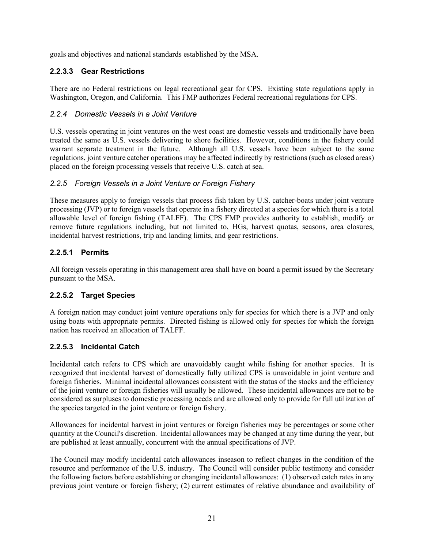goals and objectives and national standards established by the MSA.

# <span id="page-26-0"></span>**2.2.3.3 Gear Restrictions**

There are no Federal restrictions on legal recreational gear for CPS. Existing state regulations apply in Washington, Oregon, and California. This FMP authorizes Federal recreational regulations for CPS.

#### <span id="page-26-1"></span>*2.2.4 Domestic Vessels in a Joint Venture*

U.S. vessels operating in joint ventures on the west coast are domestic vessels and traditionally have been treated the same as U.S. vessels delivering to shore facilities. However, conditions in the fishery could warrant separate treatment in the future. Although all U.S. vessels have been subject to the same regulations, joint venture catcher operations may be affected indirectly by restrictions (such as closed areas) placed on the foreign processing vessels that receive U.S. catch at sea.

#### <span id="page-26-2"></span>*2.2.5 Foreign Vessels in a Joint Venture or Foreign Fishery*

These measures apply to foreign vessels that process fish taken by U.S. catcher-boats under joint venture processing (JVP) or to foreign vessels that operate in a fishery directed at a species for which there is a total allowable level of foreign fishing (TALFF). The CPS FMP provides authority to establish, modify or remove future regulations including, but not limited to, HGs, harvest quotas, seasons, area closures, incidental harvest restrictions, trip and landing limits, and gear restrictions.

# <span id="page-26-3"></span>**2.2.5.1 Permits**

All foreign vessels operating in this management area shall have on board a permit issued by the Secretary pursuant to the MSA.

# <span id="page-26-4"></span>**2.2.5.2 Target Species**

A foreign nation may conduct joint venture operations only for species for which there is a JVP and only using boats with appropriate permits. Directed fishing is allowed only for species for which the foreign nation has received an allocation of TALFF.

# <span id="page-26-5"></span>**2.2.5.3 Incidental Catch**

Incidental catch refers to CPS which are unavoidably caught while fishing for another species. It is recognized that incidental harvest of domestically fully utilized CPS is unavoidable in joint venture and foreign fisheries. Minimal incidental allowances consistent with the status of the stocks and the efficiency of the joint venture or foreign fisheries will usually be allowed. These incidental allowances are not to be considered as surpluses to domestic processing needs and are allowed only to provide for full utilization of the species targeted in the joint venture or foreign fishery.

Allowances for incidental harvest in joint ventures or foreign fisheries may be percentages or some other quantity at the Council's discretion. Incidental allowances may be changed at any time during the year, but are published at least annually, concurrent with the annual specifications of JVP.

The Council may modify incidental catch allowances inseason to reflect changes in the condition of the resource and performance of the U.S. industry. The Council will consider public testimony and consider the following factors before establishing or changing incidental allowances: (1) observed catch rates in any previous joint venture or foreign fishery; (2) current estimates of relative abundance and availability of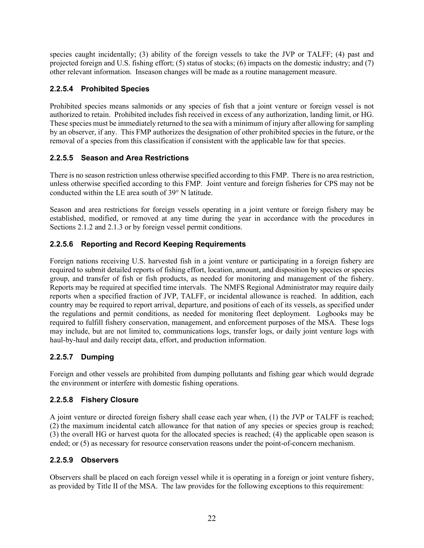species caught incidentally; (3) ability of the foreign vessels to take the JVP or TALFF; (4) past and projected foreign and U.S. fishing effort; (5) status of stocks; (6) impacts on the domestic industry; and (7) other relevant information. Inseason changes will be made as a routine management measure.

# <span id="page-27-0"></span>**2.2.5.4 Prohibited Species**

Prohibited species means salmonids or any species of fish that a joint venture or foreign vessel is not authorized to retain. Prohibited includes fish received in excess of any authorization, landing limit, or HG. These species must be immediately returned to the sea with a minimum of injury after allowing for sampling by an observer, if any. This FMP authorizes the designation of other prohibited species in the future, or the removal of a species from this classification if consistent with the applicable law for that species.

# <span id="page-27-1"></span>**2.2.5.5 Season and Area Restrictions**

There is no season restriction unless otherwise specified according to this FMP. There is no area restriction, unless otherwise specified according to this FMP. Joint venture and foreign fisheries for CPS may not be conducted within the LE area south of 39° N latitude.

Season and area restrictions for foreign vessels operating in a joint venture or foreign fishery may be established, modified, or removed at any time during the year in accordance with the procedures in Sections 2.1.2 and 2.1.3 or by foreign vessel permit conditions.

# <span id="page-27-2"></span>**2.2.5.6 Reporting and Record Keeping Requirements**

Foreign nations receiving U.S. harvested fish in a joint venture or participating in a foreign fishery are required to submit detailed reports of fishing effort, location, amount, and disposition by species or species group, and transfer of fish or fish products, as needed for monitoring and management of the fishery. Reports may be required at specified time intervals. The NMFS Regional Administrator may require daily reports when a specified fraction of JVP, TALFF, or incidental allowance is reached. In addition, each country may be required to report arrival, departure, and positions of each of its vessels, as specified under the regulations and permit conditions, as needed for monitoring fleet deployment. Logbooks may be required to fulfill fishery conservation, management, and enforcement purposes of the MSA. These logs may include, but are not limited to, communications logs, transfer logs, or daily joint venture logs with haul-by-haul and daily receipt data, effort, and production information.

# <span id="page-27-3"></span>**2.2.5.7 Dumping**

Foreign and other vessels are prohibited from dumping pollutants and fishing gear which would degrade the environment or interfere with domestic fishing operations.

#### <span id="page-27-4"></span>**2.2.5.8 Fishery Closure**

A joint venture or directed foreign fishery shall cease each year when, (1) the JVP or TALFF is reached; (2) the maximum incidental catch allowance for that nation of any species or species group is reached; (3) the overall HG or harvest quota for the allocated species is reached; (4) the applicable open season is ended; or (5) as necessary for resource conservation reasons under the point-of-concern mechanism.

# <span id="page-27-5"></span>**2.2.5.9 Observers**

Observers shall be placed on each foreign vessel while it is operating in a foreign or joint venture fishery, as provided by Title II of the MSA. The law provides for the following exceptions to this requirement: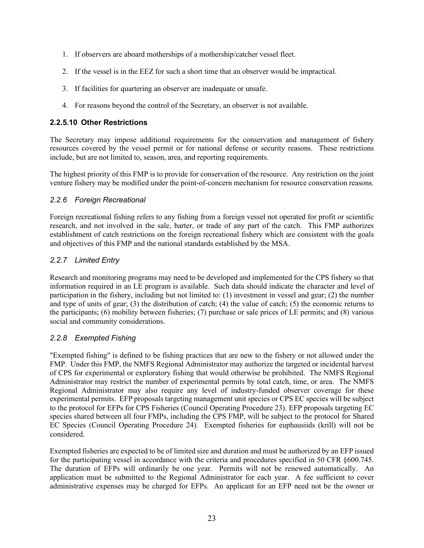- 1. If observers are aboard motherships of a mothership/catcher vessel fleet.
- 2. If the vessel is in the EEZ for such a short time that an observer would be impractical.
- 3. If facilities for quartering an observer are inadequate or unsafe.
- 4. For reasons beyond the control of the Secretary, an observer is not available.

#### <span id="page-28-0"></span>**2.2.5.10 Other Restrictions**

The Secretary may impose additional requirements for the conservation and management of fishery resources covered by the vessel permit or for national defense or security reasons. These restrictions include, but are not limited to, season, area, and reporting requirements.

The highest priority of this FMP is to provide for conservation of the resource. Any restriction on the joint venture fishery may be modified under the point-of-concern mechanism for resource conservation reasons.

#### <span id="page-28-1"></span>*2.2.6 Foreign Recreational*

Foreign recreational fishing refers to any fishing from a foreign vessel not operated for profit or scientific research, and not involved in the sale, barter, or trade of any part of the catch. This FMP authorizes establishment of catch restrictions on the foreign recreational fishery which are consistent with the goals and objectives of this FMP and the national standards established by the MSA.

# <span id="page-28-2"></span>*2.2.7 Limited Entry*

Research and monitoring programs may need to be developed and implemented for the CPS fishery so that information required in an LE program is available. Such data should indicate the character and level of participation in the fishery, including but not limited to: (1) investment in vessel and gear; (2) the number and type of units of gear; (3) the distribution of catch; (4) the value of catch; (5) the economic returns to the participants; (6) mobility between fisheries; (7) purchase or sale prices of LE permits; and (8) various social and community considerations.

# <span id="page-28-3"></span>*2.2.8 Exempted Fishing*

"Exempted fishing" is defined to be fishing practices that are new to the fishery or not allowed under the FMP. Under this FMP, the NMFS Regional Administrator may authorize the targeted or incidental harvest of CPS for experimental or exploratory fishing that would otherwise be prohibited. The NMFS Regional Administrator may restrict the number of experimental permits by total catch, time, or area. The NMFS Regional Administrator may also require any level of industry-funded observer coverage for these experimental permits. EFP proposals targeting management unit species or CPS EC species will be subject to the protocol for EFPs for CPS Fisheries (Council Operating Procedure 23). EFP proposals targeting EC species shared between all four FMPs, including the CPS FMP, will be subject to the protocol for Shared EC Species (Council Operating Procedure 24)*.* Exempted fisheries for euphausiids (krill) will not be considered.

Exempted fisheries are expected to be of limited size and duration and must be authorized by an EFP issued for the participating vessel in accordance with the criteria and procedures specified in 50 CFR §600.745. The duration of EFPs will ordinarily be one year. Permits will not be renewed automatically. An application must be submitted to the Regional Administrator for each year. A fee sufficient to cover administrative expenses may be charged for EFPs. An applicant for an EFP need not be the owner or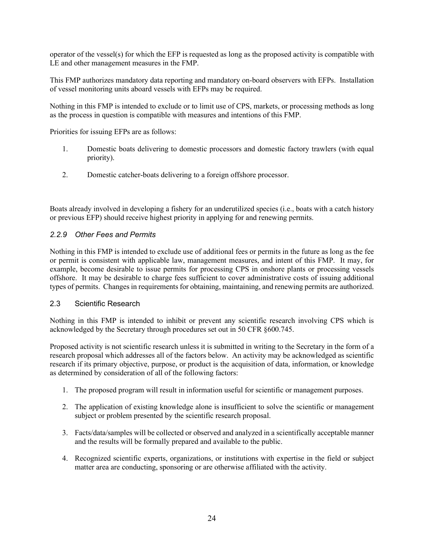operator of the vessel(s) for which the EFP is requested as long as the proposed activity is compatible with LE and other management measures in the FMP.

This FMP authorizes mandatory data reporting and mandatory on-board observers with EFPs. Installation of vessel monitoring units aboard vessels with EFPs may be required.

Nothing in this FMP is intended to exclude or to limit use of CPS, markets, or processing methods as long as the process in question is compatible with measures and intentions of this FMP.

Priorities for issuing EFPs are as follows:

- 1. Domestic boats delivering to domestic processors and domestic factory trawlers (with equal priority).
- 2. Domestic catcher-boats delivering to a foreign offshore processor.

Boats already involved in developing a fishery for an underutilized species (i.e., boats with a catch history or previous EFP) should receive highest priority in applying for and renewing permits.

#### <span id="page-29-0"></span>*2.2.9 Other Fees and Permits*

Nothing in this FMP is intended to exclude use of additional fees or permits in the future as long as the fee or permit is consistent with applicable law, management measures, and intent of this FMP. It may, for example, become desirable to issue permits for processing CPS in onshore plants or processing vessels offshore. It may be desirable to charge fees sufficient to cover administrative costs of issuing additional types of permits. Changes in requirements for obtaining, maintaining, and renewing permits are authorized.

#### <span id="page-29-1"></span>2.3 Scientific Research

Nothing in this FMP is intended to inhibit or prevent any scientific research involving CPS which is acknowledged by the Secretary through procedures set out in 50 CFR §600.745.

Proposed activity is not scientific research unless it is submitted in writing to the Secretary in the form of a research proposal which addresses all of the factors below. An activity may be acknowledged as scientific research if its primary objective, purpose, or product is the acquisition of data, information, or knowledge as determined by consideration of all of the following factors:

- 1. The proposed program will result in information useful for scientific or management purposes.
- 2. The application of existing knowledge alone is insufficient to solve the scientific or management subject or problem presented by the scientific research proposal.
- 3. Facts/data/samples will be collected or observed and analyzed in a scientifically acceptable manner and the results will be formally prepared and available to the public.
- 4. Recognized scientific experts, organizations, or institutions with expertise in the field or subject matter area are conducting, sponsoring or are otherwise affiliated with the activity.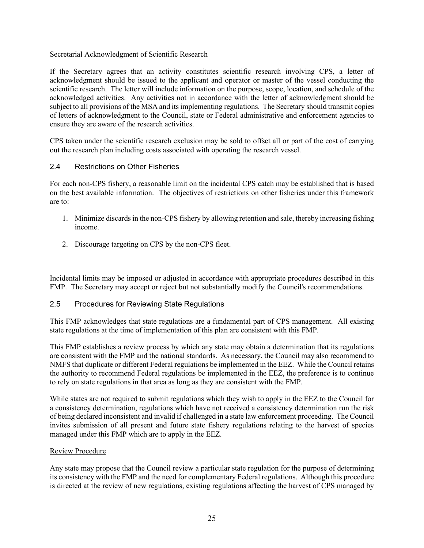#### Secretarial Acknowledgment of Scientific Research

If the Secretary agrees that an activity constitutes scientific research involving CPS, a letter of acknowledgment should be issued to the applicant and operator or master of the vessel conducting the scientific research. The letter will include information on the purpose, scope, location, and schedule of the acknowledged activities. Any activities not in accordance with the letter of acknowledgment should be subject to all provisions of the MSA and its implementing regulations. The Secretary should transmit copies of letters of acknowledgment to the Council, state or Federal administrative and enforcement agencies to ensure they are aware of the research activities.

CPS taken under the scientific research exclusion may be sold to offset all or part of the cost of carrying out the research plan including costs associated with operating the research vessel.

#### <span id="page-30-0"></span>2.4 Restrictions on Other Fisheries

For each non-CPS fishery, a reasonable limit on the incidental CPS catch may be established that is based on the best available information. The objectives of restrictions on other fisheries under this framework are to:

- 1. Minimize discards in the non-CPS fishery by allowing retention and sale, thereby increasing fishing income.
- 2. Discourage targeting on CPS by the non-CPS fleet.

Incidental limits may be imposed or adjusted in accordance with appropriate procedures described in this FMP. The Secretary may accept or reject but not substantially modify the Council's recommendations.

#### <span id="page-30-1"></span>2.5 Procedures for Reviewing State Regulations

This FMP acknowledges that state regulations are a fundamental part of CPS management. All existing state regulations at the time of implementation of this plan are consistent with this FMP.

This FMP establishes a review process by which any state may obtain a determination that its regulations are consistent with the FMP and the national standards. As necessary, the Council may also recommend to NMFS that duplicate or different Federal regulations be implemented in the EEZ. While the Council retains the authority to recommend Federal regulations be implemented in the EEZ, the preference is to continue to rely on state regulations in that area as long as they are consistent with the FMP.

While states are not required to submit regulations which they wish to apply in the EEZ to the Council for a consistency determination, regulations which have not received a consistency determination run the risk of being declared inconsistent and invalid if challenged in a state law enforcement proceeding. The Council invites submission of all present and future state fishery regulations relating to the harvest of species managed under this FMP which are to apply in the EEZ.

#### Review Procedure

Any state may propose that the Council review a particular state regulation for the purpose of determining its consistency with the FMP and the need for complementary Federal regulations. Although this procedure is directed at the review of new regulations, existing regulations affecting the harvest of CPS managed by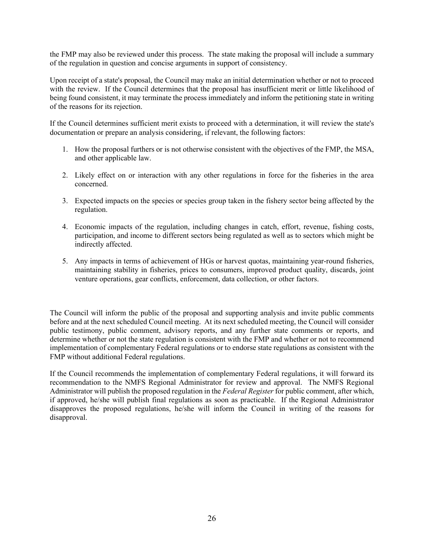the FMP may also be reviewed under this process. The state making the proposal will include a summary of the regulation in question and concise arguments in support of consistency.

Upon receipt of a state's proposal, the Council may make an initial determination whether or not to proceed with the review. If the Council determines that the proposal has insufficient merit or little likelihood of being found consistent, it may terminate the process immediately and inform the petitioning state in writing of the reasons for its rejection.

If the Council determines sufficient merit exists to proceed with a determination, it will review the state's documentation or prepare an analysis considering, if relevant, the following factors:

- 1. How the proposal furthers or is not otherwise consistent with the objectives of the FMP, the MSA, and other applicable law.
- 2. Likely effect on or interaction with any other regulations in force for the fisheries in the area concerned.
- 3. Expected impacts on the species or species group taken in the fishery sector being affected by the regulation.
- 4. Economic impacts of the regulation, including changes in catch, effort, revenue, fishing costs, participation, and income to different sectors being regulated as well as to sectors which might be indirectly affected.
- 5. Any impacts in terms of achievement of HGs or harvest quotas, maintaining year-round fisheries, maintaining stability in fisheries, prices to consumers, improved product quality, discards, joint venture operations, gear conflicts, enforcement, data collection, or other factors.

The Council will inform the public of the proposal and supporting analysis and invite public comments before and at the next scheduled Council meeting. At its next scheduled meeting, the Council will consider public testimony, public comment, advisory reports, and any further state comments or reports, and determine whether or not the state regulation is consistent with the FMP and whether or not to recommend implementation of complementary Federal regulations or to endorse state regulations as consistent with the FMP without additional Federal regulations.

If the Council recommends the implementation of complementary Federal regulations, it will forward its recommendation to the NMFS Regional Administrator for review and approval. The NMFS Regional Administrator will publish the proposed regulation in the *Federal Register* for public comment, after which, if approved, he/she will publish final regulations as soon as practicable. If the Regional Administrator disapproves the proposed regulations, he/she will inform the Council in writing of the reasons for disapproval.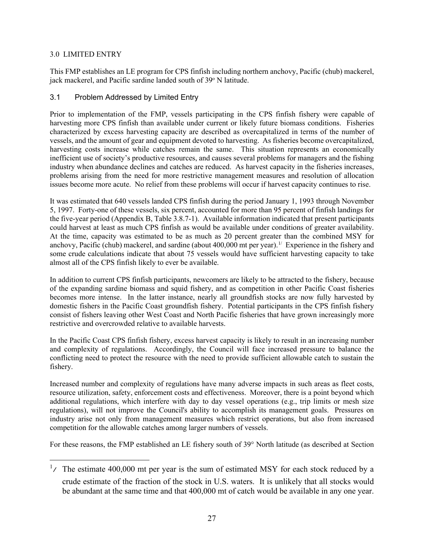#### 3.0 LIMITED ENTRY

This FMP establishes an LE program for CPS finfish including northern anchovy, Pacific (chub) mackerel, jack mackerel, and Pacific sardine landed south of 39° N latitude.

#### <span id="page-32-0"></span>3.1 Problem Addressed by Limited Entry

Prior to implementation of the FMP, vessels participating in the CPS finfish fishery were capable of harvesting more CPS finfish than available under current or likely future biomass conditions. Fisheries characterized by excess harvesting capacity are described as overcapitalized in terms of the number of vessels, and the amount of gear and equipment devoted to harvesting. As fisheries become overcapitalized, harvesting costs increase while catches remain the same. This situation represents an economically inefficient use of society's productive resources, and causes several problems for managers and the fishing industry when abundance declines and catches are reduced. As harvest capacity in the fisheries increases, problems arising from the need for more restrictive management measures and resolution of allocation issues become more acute. No relief from these problems will occur if harvest capacity continues to rise.

It was estimated that 640 vessels landed CPS finfish during the period January 1, 1993 through November 5, 1997. Forty-one of these vessels, six percent, accounted for more than 95 percent of finfish landings for the five-year period (Appendix B, Table 3.8.7-1). Available information indicated that present participants could harvest at least as much CPS finfish as would be available under conditions of greater availability. At the time, capacity was estimated to be as much as 20 percent greater than the combined MSY for anchovy, Pacific (chub) mackerel, and sardine (about  $400,000$  mt per year).<sup>[1](#page-32-1)/</sup> Experience in the fishery and some crude calculations indicate that about 75 vessels would have sufficient harvesting capacity to take almost all of the CPS finfish likely to ever be available.

In addition to current CPS finfish participants, newcomers are likely to be attracted to the fishery, because of the expanding sardine biomass and squid fishery, and as competition in other Pacific Coast fisheries becomes more intense. In the latter instance, nearly all groundfish stocks are now fully harvested by domestic fishers in the Pacific Coast groundfish fishery. Potential participants in the CPS finfish fishery consist of fishers leaving other West Coast and North Pacific fisheries that have grown increasingly more restrictive and overcrowded relative to available harvests.

In the Pacific Coast CPS finfish fishery, excess harvest capacity is likely to result in an increasing number and complexity of regulations. Accordingly, the Council will face increased pressure to balance the conflicting need to protect the resource with the need to provide sufficient allowable catch to sustain the fishery.

Increased number and complexity of regulations have many adverse impacts in such areas as fleet costs, resource utilization, safety, enforcement costs and effectiveness. Moreover, there is a point beyond which additional regulations, which interfere with day to day vessel operations (e.g., trip limits or mesh size regulations), will not improve the Council's ability to accomplish its management goals. Pressures on industry arise not only from management measures which restrict operations, but also from increased competition for the allowable catches among larger numbers of vessels.

For these reasons, the FMP established an LE fishery south of 39° North latitude (as described at Section

<span id="page-32-1"></span> $\frac{1}{1}$  The estimate 400,000 mt per year is the sum of estimated MSY for each stock reduced by a crude estimate of the fraction of the stock in U.S. waters. It is unlikely that all stocks would be abundant at the same time and that 400,000 mt of catch would be available in any one year.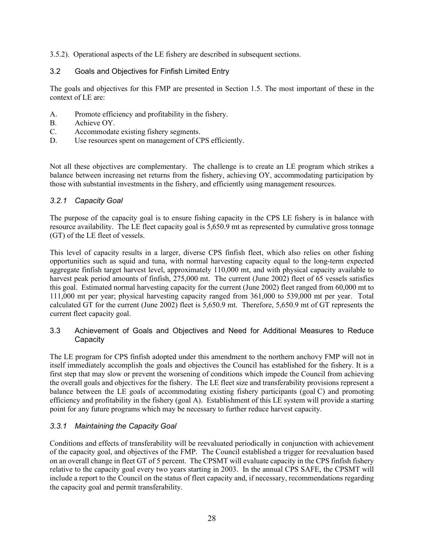3.5.2). Operational aspects of the LE fishery are described in subsequent sections.

# <span id="page-33-0"></span>3.2 Goals and Objectives for Finfish Limited Entry

The goals and objectives for this FMP are presented in Section 1.5. The most important of these in the context of LE are:

- A. Promote efficiency and profitability in the fishery.
- B. Achieve OY.
- C. Accommodate existing fishery segments.
- D. Use resources spent on management of CPS efficiently.

Not all these objectives are complementary. The challenge is to create an LE program which strikes a balance between increasing net returns from the fishery, achieving OY, accommodating participation by those with substantial investments in the fishery, and efficiently using management resources.

# <span id="page-33-1"></span>*3.2.1 Capacity Goal*

The purpose of the capacity goal is to ensure fishing capacity in the CPS LE fishery is in balance with resource availability. The LE fleet capacity goal is 5,650.9 mt as represented by cumulative gross tonnage (GT) of the LE fleet of vessels.

This level of capacity results in a larger, diverse CPS finfish fleet, which also relies on other fishing opportunities such as squid and tuna, with normal harvesting capacity equal to the long-term expected aggregate finfish target harvest level, approximately 110,000 mt, and with physical capacity available to harvest peak period amounts of finfish, 275,000 mt. The current (June 2002) fleet of 65 vessels satisfies this goal. Estimated normal harvesting capacity for the current (June 2002) fleet ranged from 60,000 mt to 111,000 mt per year; physical harvesting capacity ranged from 361,000 to 539,000 mt per year. Total calculated GT for the current (June 2002) fleet is 5,650.9 mt. Therefore, 5,650.9 mt of GT represents the current fleet capacity goal.

#### <span id="page-33-2"></span>3.3 Achievement of Goals and Objectives and Need for Additional Measures to Reduce **Capacity**

The LE program for CPS finfish adopted under this amendment to the northern anchovy FMP will not in itself immediately accomplish the goals and objectives the Council has established for the fishery. It is a first step that may slow or prevent the worsening of conditions which impede the Council from achieving the overall goals and objectives for the fishery. The LE fleet size and transferability provisions represent a balance between the LE goals of accommodating existing fishery participants (goal C) and promoting efficiency and profitability in the fishery (goal A). Establishment of this LE system will provide a starting point for any future programs which may be necessary to further reduce harvest capacity.

# <span id="page-33-3"></span>*3.3.1 Maintaining the Capacity Goal*

Conditions and effects of transferability will be reevaluated periodically in conjunction with achievement of the capacity goal, and objectives of the FMP. The Council established a trigger for reevaluation based on an overall change in fleet GT of 5 percent. The CPSMT will evaluate capacity in the CPS finfish fishery relative to the capacity goal every two years starting in 2003. In the annual CPS SAFE, the CPSMT will include a report to the Council on the status of fleet capacity and, if necessary, recommendations regarding the capacity goal and permit transferability.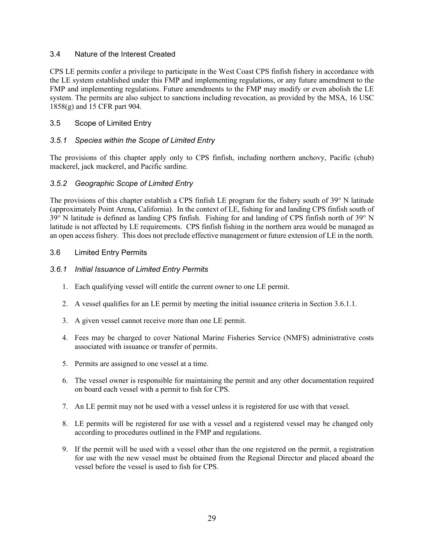#### <span id="page-34-0"></span>3.4 Nature of the Interest Created

CPS LE permits confer a privilege to participate in the West Coast CPS finfish fishery in accordance with the LE system established under this FMP and implementing regulations, or any future amendment to the FMP and implementing regulations. Future amendments to the FMP may modify or even abolish the LE system. The permits are also subject to sanctions including revocation, as provided by the MSA, 16 USC 1858(g) and 15 CFR part 904.

#### <span id="page-34-1"></span>3.5 Scope of Limited Entry

#### <span id="page-34-2"></span>*3.5.1 Species within the Scope of Limited Entry*

The provisions of this chapter apply only to CPS finfish, including northern anchovy, Pacific (chub) mackerel, jack mackerel, and Pacific sardine.

#### <span id="page-34-3"></span>*3.5.2 Geographic Scope of Limited Entry*

The provisions of this chapter establish a CPS finfish LE program for the fishery south of 39° N latitude (approximately Point Arena, California). In the context of LE, fishing for and landing CPS finfish south of 39° N latitude is defined as landing CPS finfish. Fishing for and landing of CPS finfish north of 39° N latitude is not affected by LE requirements. CPS finfish fishing in the northern area would be managed as an open access fishery. This does not preclude effective management or future extension of LE in the north.

#### <span id="page-34-4"></span>3.6 Limited Entry Permits

#### <span id="page-34-5"></span>*3.6.1 Initial Issuance of Limited Entry Permits*

- 1. Each qualifying vessel will entitle the current owner to one LE permit.
- 2. A vessel qualifies for an LE permit by meeting the initial issuance criteria in Section 3.6.1.1.
- 3. A given vessel cannot receive more than one LE permit.
- 4. Fees may be charged to cover National Marine Fisheries Service (NMFS) administrative costs associated with issuance or transfer of permits.
- 5. Permits are assigned to one vessel at a time.
- 6. The vessel owner is responsible for maintaining the permit and any other documentation required on board each vessel with a permit to fish for CPS.
- 7. An LE permit may not be used with a vessel unless it is registered for use with that vessel.
- 8. LE permits will be registered for use with a vessel and a registered vessel may be changed only according to procedures outlined in the FMP and regulations.
- 9. If the permit will be used with a vessel other than the one registered on the permit, a registration for use with the new vessel must be obtained from the Regional Director and placed aboard the vessel before the vessel is used to fish for CPS.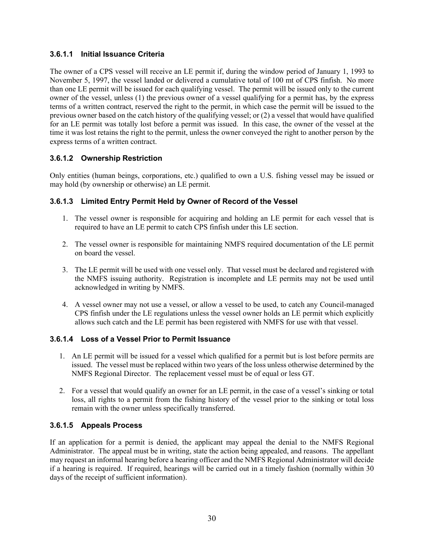#### <span id="page-35-0"></span>**3.6.1.1 Initial Issuance Criteria**

The owner of a CPS vessel will receive an LE permit if, during the window period of January 1, 1993 to November 5, 1997, the vessel landed or delivered a cumulative total of 100 mt of CPS finfish. No more than one LE permit will be issued for each qualifying vessel. The permit will be issued only to the current owner of the vessel, unless (1) the previous owner of a vessel qualifying for a permit has, by the express terms of a written contract, reserved the right to the permit, in which case the permit will be issued to the previous owner based on the catch history of the qualifying vessel; or (2) a vessel that would have qualified for an LE permit was totally lost before a permit was issued. In this case, the owner of the vessel at the time it was lost retains the right to the permit, unless the owner conveyed the right to another person by the express terms of a written contract.

# <span id="page-35-1"></span>**3.6.1.2 Ownership Restriction**

Only entities (human beings, corporations, etc.) qualified to own a U.S. fishing vessel may be issued or may hold (by ownership or otherwise) an LE permit.

# <span id="page-35-2"></span>**3.6.1.3 Limited Entry Permit Held by Owner of Record of the Vessel**

- 1. The vessel owner is responsible for acquiring and holding an LE permit for each vessel that is required to have an LE permit to catch CPS finfish under this LE section.
- 2. The vessel owner is responsible for maintaining NMFS required documentation of the LE permit on board the vessel.
- 3. The LE permit will be used with one vessel only. That vessel must be declared and registered with the NMFS issuing authority. Registration is incomplete and LE permits may not be used until acknowledged in writing by NMFS.
- 4. A vessel owner may not use a vessel, or allow a vessel to be used, to catch any Council-managed CPS finfish under the LE regulations unless the vessel owner holds an LE permit which explicitly allows such catch and the LE permit has been registered with NMFS for use with that vessel.

# <span id="page-35-3"></span>**3.6.1.4 Loss of a Vessel Prior to Permit Issuance**

- 1. An LE permit will be issued for a vessel which qualified for a permit but is lost before permits are issued. The vessel must be replaced within two years of the loss unless otherwise determined by the NMFS Regional Director. The replacement vessel must be of equal or less GT.
- 2. For a vessel that would qualify an owner for an LE permit, in the case of a vessel's sinking or total loss, all rights to a permit from the fishing history of the vessel prior to the sinking or total loss remain with the owner unless specifically transferred.

#### <span id="page-35-4"></span>**3.6.1.5 Appeals Process**

If an application for a permit is denied, the applicant may appeal the denial to the NMFS Regional Administrator. The appeal must be in writing, state the action being appealed, and reasons. The appellant may request an informal hearing before a hearing officer and the NMFS Regional Administrator will decide if a hearing is required. If required, hearings will be carried out in a timely fashion (normally within 30 days of the receipt of sufficient information).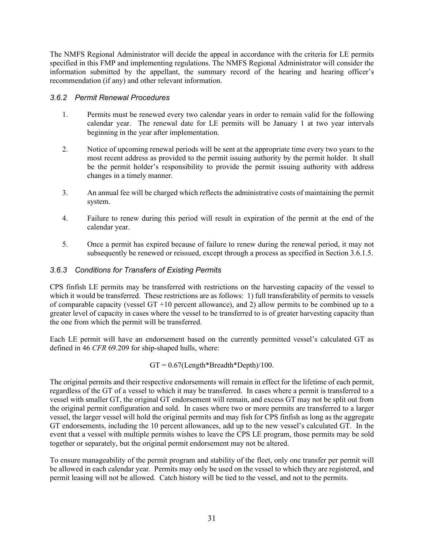The NMFS Regional Administrator will decide the appeal in accordance with the criteria for LE permits specified in this FMP and implementing regulations. The NMFS Regional Administrator will consider the information submitted by the appellant, the summary record of the hearing and hearing officer's recommendation (if any) and other relevant information.

#### <span id="page-36-0"></span>*3.6.2 Permit Renewal Procedures*

- 1. Permits must be renewed every two calendar years in order to remain valid for the following calendar year. The renewal date for LE permits will be January 1 at two year intervals beginning in the year after implementation.
- 2. Notice of upcoming renewal periods will be sent at the appropriate time every two years to the most recent address as provided to the permit issuing authority by the permit holder. It shall be the permit holder's responsibility to provide the permit issuing authority with address changes in a timely manner.
- 3. An annual fee will be charged which reflects the administrative costs of maintaining the permit system.
- 4. Failure to renew during this period will result in expiration of the permit at the end of the calendar year.
- 5. Once a permit has expired because of failure to renew during the renewal period, it may not subsequently be renewed or reissued, except through a process as specified in Section 3.6.1.5.

#### <span id="page-36-1"></span>*3.6.3 Conditions for Transfers of Existing Permits*

CPS finfish LE permits may be transferred with restrictions on the harvesting capacity of the vessel to which it would be transferred. These restrictions are as follows: 1) full transferability of permits to vessels of comparable capacity (vessel  $GT + 10$  percent allowance), and 2) allow permits to be combined up to a greater level of capacity in cases where the vessel to be transferred to is of greater harvesting capacity than the one from which the permit will be transferred.

Each LE permit will have an endorsement based on the currently permitted vessel's calculated GT as defined in 46 *CFR* 69.209 for ship-shaped hulls, where:

#### $GT = 0.67$ (Length\*Breadth\*Depth)/100.

The original permits and their respective endorsements will remain in effect for the lifetime of each permit, regardless of the GT of a vessel to which it may be transferred. In cases where a permit is transferred to a vessel with smaller GT, the original GT endorsement will remain, and excess GT may not be split out from the original permit configuration and sold. In cases where two or more permits are transferred to a larger vessel, the larger vessel will hold the original permits and may fish for CPS finfish as long as the aggregate GT endorsements, including the 10 percent allowances, add up to the new vessel's calculated GT. In the event that a vessel with multiple permits wishes to leave the CPS LE program, those permits may be sold together or separately, but the original permit endorsement may not be altered.

To ensure manageability of the permit program and stability of the fleet, only one transfer per permit will be allowed in each calendar year. Permits may only be used on the vessel to which they are registered, and permit leasing will not be allowed. Catch history will be tied to the vessel, and not to the permits.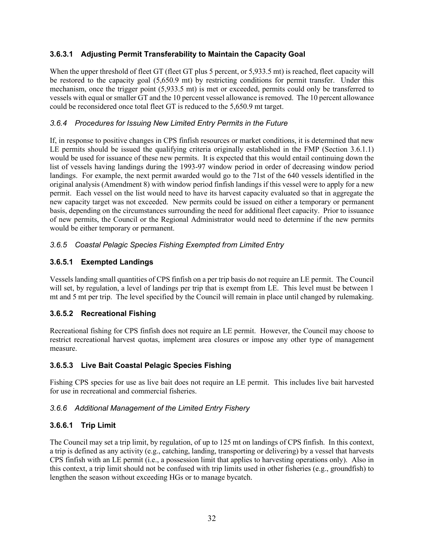# <span id="page-37-0"></span>**3.6.3.1 Adjusting Permit Transferability to Maintain the Capacity Goal**

When the upper threshold of fleet GT (fleet GT plus 5 percent, or 5,933.5 mt) is reached, fleet capacity will be restored to the capacity goal (5,650.9 mt) by restricting conditions for permit transfer. Under this mechanism, once the trigger point (5,933.5 mt) is met or exceeded, permits could only be transferred to vessels with equal or smaller GT and the 10 percent vessel allowance is removed. The 10 percent allowance could be reconsidered once total fleet GT is reduced to the 5,650.9 mt target.

#### <span id="page-37-1"></span>*3.6.4 Procedures for Issuing New Limited Entry Permits in the Future*

If, in response to positive changes in CPS finfish resources or market conditions, it is determined that new LE permits should be issued the qualifying criteria originally established in the FMP (Section 3.6.1.1) would be used for issuance of these new permits. It is expected that this would entail continuing down the list of vessels having landings during the 1993-97 window period in order of decreasing window period landings. For example, the next permit awarded would go to the 71st of the 640 vessels identified in the original analysis (Amendment 8) with window period finfish landings if this vessel were to apply for a new permit. Each vessel on the list would need to have its harvest capacity evaluated so that in aggregate the new capacity target was not exceeded. New permits could be issued on either a temporary or permanent basis, depending on the circumstances surrounding the need for additional fleet capacity. Prior to issuance of new permits, the Council or the Regional Administrator would need to determine if the new permits would be either temporary or permanent.

# <span id="page-37-2"></span>*3.6.5 Coastal Pelagic Species Fishing Exempted from Limited Entry*

# <span id="page-37-3"></span>**3.6.5.1 Exempted Landings**

Vessels landing small quantities of CPS finfish on a per trip basis do not require an LE permit. The Council will set, by regulation, a level of landings per trip that is exempt from LE. This level must be between 1 mt and 5 mt per trip. The level specified by the Council will remain in place until changed by rulemaking.

# <span id="page-37-4"></span>**3.6.5.2 Recreational Fishing**

Recreational fishing for CPS finfish does not require an LE permit. However, the Council may choose to restrict recreational harvest quotas, implement area closures or impose any other type of management measure.

#### <span id="page-37-5"></span>**3.6.5.3 Live Bait Coastal Pelagic Species Fishing**

Fishing CPS species for use as live bait does not require an LE permit. This includes live bait harvested for use in recreational and commercial fisheries.

#### <span id="page-37-6"></span>*3.6.6 Additional Management of the Limited Entry Fishery*

# <span id="page-37-7"></span>**3.6.6.1 Trip Limit**

The Council may set a trip limit, by regulation, of up to 125 mt on landings of CPS finfish. In this context, a trip is defined as any activity (e.g., catching, landing, transporting or delivering) by a vessel that harvests CPS finfish with an LE permit (i.e., a possession limit that applies to harvesting operations only). Also in this context, a trip limit should not be confused with trip limits used in other fisheries (e.g., groundfish) to lengthen the season without exceeding HGs or to manage bycatch.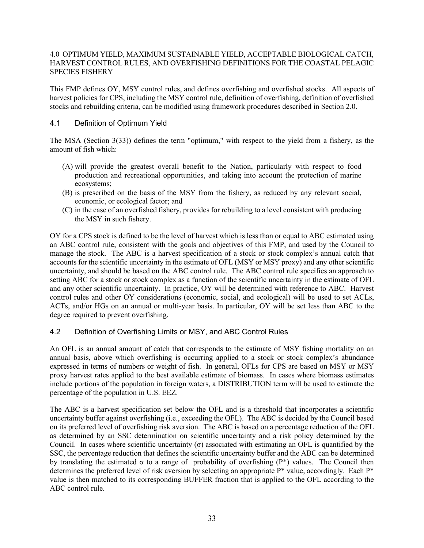#### 4.0 OPTIMUM YIELD, MAXIMUM SUSTAINABLE YIELD, ACCEPTABLE BIOLOGICAL CATCH, HARVEST CONTROL RULES, AND OVERFISHING DEFINITIONS FOR THE COASTAL PELAGIC SPECIES FISHERY

This FMP defines OY, MSY control rules, and defines overfishing and overfished stocks. All aspects of harvest policies for CPS, including the MSY control rule, definition of overfishing, definition of overfished stocks and rebuilding criteria, can be modified using framework procedures described in Section 2.0.

#### <span id="page-38-0"></span>4.1 Definition of Optimum Yield

The MSA (Section 3(33)) defines the term "optimum," with respect to the yield from a fishery, as the amount of fish which:

- (A) will provide the greatest overall benefit to the Nation, particularly with respect to food production and recreational opportunities, and taking into account the protection of marine ecosystems;
- (B) is prescribed on the basis of the MSY from the fishery, as reduced by any relevant social, economic, or ecological factor; and
- (C) in the case of an overfished fishery, provides for rebuilding to a level consistent with producing the MSY in such fishery.

OY for a CPS stock is defined to be the level of harvest which is less than or equal to ABC estimated using an ABC control rule, consistent with the goals and objectives of this FMP, and used by the Council to manage the stock. The ABC is a harvest specification of a stock or stock complex's annual catch that accounts for the scientific uncertainty in the estimate of OFL (MSY or MSY proxy) and any other scientific uncertainty, and should be based on the ABC control rule. The ABC control rule specifies an approach to setting ABC for a stock or stock complex as a function of the scientific uncertainty in the estimate of OFL and any other scientific uncertainty. In practice, OY will be determined with reference to ABC. Harvest control rules and other OY considerations (economic, social, and ecological) will be used to set ACLs, ACTs, and/or HGs on an annual or multi-year basis. In particular, OY will be set less than ABC to the degree required to prevent overfishing.

#### <span id="page-38-1"></span>4.2 Definition of Overfishing Limits or MSY, and ABC Control Rules

An OFL is an annual amount of catch that corresponds to the estimate of MSY fishing mortality on an annual basis, above which overfishing is occurring applied to a stock or stock complex's abundance expressed in terms of numbers or weight of fish. In general, OFLs for CPS are based on MSY or MSY proxy harvest rates applied to the best available estimate of biomass. In cases where biomass estimates include portions of the population in foreign waters, a DISTRIBUTION term will be used to estimate the percentage of the population in U.S. EEZ.

The ABC is a harvest specification set below the OFL and is a threshold that incorporates a scientific uncertainty buffer against overfishing (i.e., exceeding the OFL). The ABC is decided by the Council based on its preferred level of overfishing risk aversion. The ABC is based on a percentage reduction of the OFL as determined by an SSC determination on scientific uncertainty and a risk policy determined by the Council. In cases where scientific uncertainty (σ) associated with estimating an OFL is quantified by the SSC, the percentage reduction that defines the scientific uncertainty buffer and the ABC can be determined by translating the estimated  $\sigma$  to a range of probability of overfishing (P\*) values. The Council then determines the preferred level of risk aversion by selecting an appropriate P\* value, accordingly. Each P\* value is then matched to its corresponding BUFFER fraction that is applied to the OFL according to the ABC control rule.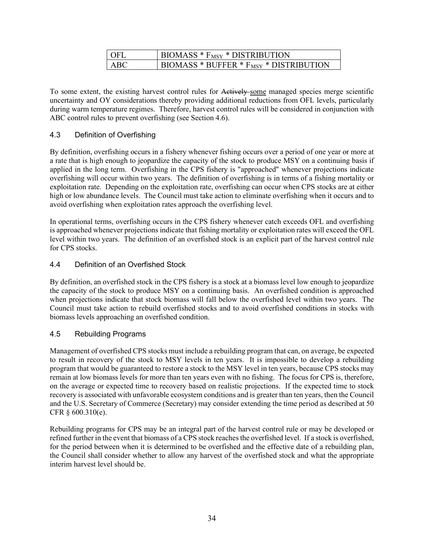| - OFL | BIOMASS $*$ $F_{MSY}$ $*$ DISTRIBUTION             |
|-------|----------------------------------------------------|
| ABC   | BIOMASS * BUFFER * F <sub>MSY</sub> * DISTRIBUTION |

To some extent, the existing harvest control rules for Actively some managed species merge scientific uncertainty and OY considerations thereby providing additional reductions from OFL levels, particularly during warm temperature regimes. Therefore, harvest control rules will be considered in conjunction with ABC control rules to prevent overfishing (see Section 4.6).

# <span id="page-39-0"></span>4.3 Definition of Overfishing

By definition, overfishing occurs in a fishery whenever fishing occurs over a period of one year or more at a rate that is high enough to jeopardize the capacity of the stock to produce MSY on a continuing basis if applied in the long term. Overfishing in the CPS fishery is "approached" whenever projections indicate overfishing will occur within two years. The definition of overfishing is in terms of a fishing mortality or exploitation rate. Depending on the exploitation rate, overfishing can occur when CPS stocks are at either high or low abundance levels. The Council must take action to eliminate overfishing when it occurs and to avoid overfishing when exploitation rates approach the overfishing level.

In operational terms, overfishing occurs in the CPS fishery whenever catch exceeds OFL and overfishing is approached whenever projections indicate that fishing mortality or exploitation rates will exceed the OFL level within two years. The definition of an overfished stock is an explicit part of the harvest control rule for CPS stocks.

#### <span id="page-39-1"></span>4.4 Definition of an Overfished Stock

By definition, an overfished stock in the CPS fishery is a stock at a biomass level low enough to jeopardize the capacity of the stock to produce MSY on a continuing basis. An overfished condition is approached when projections indicate that stock biomass will fall below the overfished level within two years. The Council must take action to rebuild overfished stocks and to avoid overfished conditions in stocks with biomass levels approaching an overfished condition.

#### <span id="page-39-2"></span>4.5 Rebuilding Programs

Management of overfished CPS stocks must include a rebuilding program that can, on average, be expected to result in recovery of the stock to MSY levels in ten years. It is impossible to develop a rebuilding program that would be guaranteed to restore a stock to the MSY level in ten years, because CPS stocks may remain at low biomass levels for more than ten years even with no fishing. The focus for CPS is, therefore, on the average or expected time to recovery based on realistic projections. If the expected time to stock recovery is associated with unfavorable ecosystem conditions and is greater than ten years, then the Council and the U.S. Secretary of Commerce (Secretary) may consider extending the time period as described at 50 CFR § 600.310(e).

Rebuilding programs for CPS may be an integral part of the harvest control rule or may be developed or refined further in the event that biomass of a CPS stock reaches the overfished level. If a stock is overfished, for the period between when it is determined to be overfished and the effective date of a rebuilding plan, the Council shall consider whether to allow any harvest of the overfished stock and what the appropriate interim harvest level should be.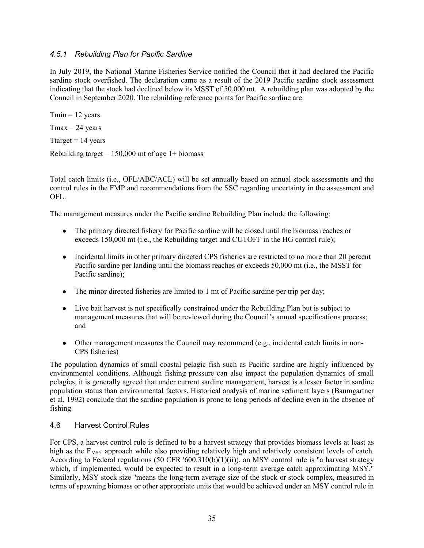#### <span id="page-40-0"></span>*4.5.1 Rebuilding Plan for Pacific Sardine*

In July 2019, the National Marine Fisheries Service notified the Council that it had declared the Pacific sardine stock overfished. The declaration came as a result of the 2019 Pacific sardine stock assessment indicating that the stock had declined below its MSST of 50,000 mt. A rebuilding plan was adopted by the Council in September 2020. The rebuilding reference points for Pacific sardine are:

 $Tmin = 12$  years  $T$ max = 24 years Ttarget  $= 14$  years

Rebuilding target  $= 150,000$  mt of age 1+ biomass

Total catch limits (i.e., OFL/ABC/ACL) will be set annually based on annual stock assessments and the control rules in the FMP and recommendations from the SSC regarding uncertainty in the assessment and OFL.

The management measures under the Pacific sardine Rebuilding Plan include the following:

- The primary directed fishery for Pacific sardine will be closed until the biomass reaches or exceeds 150,000 mt (i.e., the Rebuilding target and CUTOFF in the HG control rule);
- Incidental limits in other primary directed CPS fisheries are restricted to no more than 20 percent Pacific sardine per landing until the biomass reaches or exceeds 50,000 mt (i.e., the MSST for Pacific sardine);
- The minor directed fisheries are limited to 1 mt of Pacific sardine per trip per day;
- Live bait harvest is not specifically constrained under the Rebuilding Plan but is subject to management measures that will be reviewed during the Council's annual specifications process; and
- Other management measures the Council may recommend (e.g., incidental catch limits in non-CPS fisheries)

The population dynamics of small coastal pelagic fish such as Pacific sardine are highly influenced by environmental conditions. Although fishing pressure can also impact the population dynamics of small pelagics, it is generally agreed that under current sardine management, harvest is a lesser factor in sardine population status than environmental factors. Historical analysis of marine sediment layers (Baumgartner et al, 1992) conclude that the sardine population is prone to long periods of decline even in the absence of fishing.

#### <span id="page-40-1"></span>4.6 Harvest Control Rules

For CPS, a harvest control rule is defined to be a harvest strategy that provides biomass levels at least as high as the  $F_{\text{MSY}}$  approach while also providing relatively high and relatively consistent levels of catch. According to Federal regulations (50 CFR '600.310(b)(1)(ii)), an MSY control rule is "a harvest strategy which, if implemented, would be expected to result in a long-term average catch approximating MSY." Similarly, MSY stock size "means the long-term average size of the stock or stock complex, measured in terms of spawning biomass or other appropriate units that would be achieved under an MSY control rule in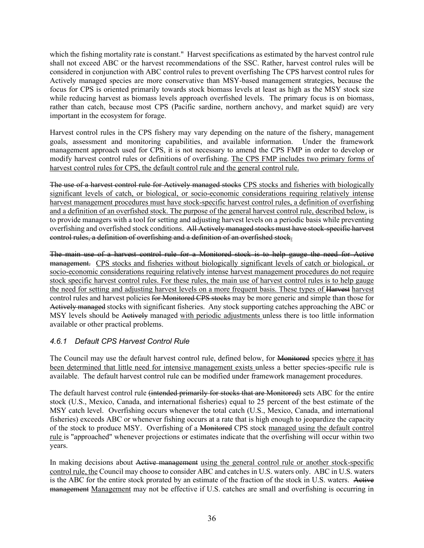which the fishing mortality rate is constant." Harvest specifications as estimated by the harvest control rule shall not exceed ABC or the harvest recommendations of the SSC. Rather, harvest control rules will be considered in conjunction with ABC control rules to prevent overfishing The CPS harvest control rules for Actively managed species are more conservative than MSY-based management strategies, because the focus for CPS is oriented primarily towards stock biomass levels at least as high as the MSY stock size while reducing harvest as biomass levels approach overfished levels. The primary focus is on biomass, rather than catch, because most CPS (Pacific sardine, northern anchovy, and market squid) are very important in the ecosystem for forage.

Harvest control rules in the CPS fishery may vary depending on the nature of the fishery, management goals, assessment and monitoring capabilities, and available information. Under the framework management approach used for CPS, it is not necessary to amend the CPS FMP in order to develop or modify harvest control rules or definitions of overfishing. The CPS FMP includes two primary forms of harvest control rules for CPS, the default control rule and the general control rule.

The use of a harvest control rule for Actively managed stocks CPS stocks and fisheries with biologically significant levels of catch, or biological, or socio-economic considerations requiring relatively intense harvest management procedures must have stock-specific harvest control rules, a definition of overfishing and a definition of an overfished stock. The purpose of the general harvest control rule, described below, is to provide managers with a tool for setting and adjusting harvest levels on a periodic basis while preventing overfishing and overfished stock conditions. All Actively managed stocks must have stock-specific harvest control rules, a definition of overfishing and a definition of an overfished stock.

The main use of a harvest control rule for a Monitored stock is to help gauge the need for Active management. CPS stocks and fisheries without biologically significant levels of catch or biological, or socio-economic considerations requiring relatively intense harvest management procedures do not require stock specific harvest control rules. For these rules, the main use of harvest control rules is to help gauge the need for setting and adjusting harvest levels on a more frequent basis. These types of Harvest harvest control rules and harvest policies for Monitored CPS stocks may be more generic and simple than those for Actively managed stocks with significant fisheries. Any stock supporting catches approaching the ABC or MSY levels should be Actively managed with periodic adjustments unless there is too little information available or other practical problems.

# <span id="page-41-0"></span>*4.6.1 Default CPS Harvest Control Rule*

The Council may use the default harvest control rule, defined below, for Monitored species where it has been determined that little need for intensive management exists unless a better species-specific rule is available. The default harvest control rule can be modified under framework management procedures.

The default harvest control rule (intended primarily for stocks that are Monitored) sets ABC for the entire stock (U.S., Mexico, Canada, and international fisheries) equal to 25 percent of the best estimate of the MSY catch level. Overfishing occurs whenever the total catch (U.S., Mexico, Canada, and international fisheries) exceeds ABC or whenever fishing occurs at a rate that is high enough to jeopardize the capacity of the stock to produce MSY. Overfishing of a Monitored CPS stock managed using the default control rule is "approached" whenever projections or estimates indicate that the overfishing will occur within two years.

In making decisions about Active management using the general control rule or another stock-specific control rule, the Council may choose to consider ABC and catches in U.S. waters only. ABC in U.S. waters is the ABC for the entire stock prorated by an estimate of the fraction of the stock in U.S. waters. Active management Management may not be effective if U.S. catches are small and overfishing is occurring in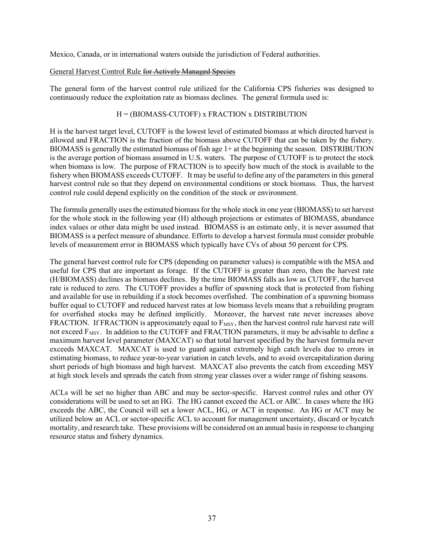Mexico, Canada, or in international waters outside the jurisdiction of Federal authorities.

#### General Harvest Control Rule for Actively Managed Species

The general form of the harvest control rule utilized for the California CPS fisheries was designed to continuously reduce the exploitation rate as biomass declines. The general formula used is:

#### H = (BIOMASS-CUTOFF) x FRACTION x DISTRIBUTION

H is the harvest target level, CUTOFF is the lowest level of estimated biomass at which directed harvest is allowed and FRACTION is the fraction of the biomass above CUTOFF that can be taken by the fishery. BIOMASS is generally the estimated biomass of fish age 1+ at the beginning the season. DISTRIBUTION is the average portion of biomass assumed in U.S. waters. The purpose of CUTOFF is to protect the stock when biomass is low. The purpose of FRACTION is to specify how much of the stock is available to the fishery when BIOMASS exceeds CUTOFF. It may be useful to define any of the parameters in this general harvest control rule so that they depend on environmental conditions or stock biomass. Thus, the harvest control rule could depend explicitly on the condition of the stock or environment.

The formula generally uses the estimated biomass for the whole stock in one year (BIOMASS) to set harvest for the whole stock in the following year (H) although projections or estimates of BIOMASS, abundance index values or other data might be used instead. BIOMASS is an estimate only, it is never assumed that BIOMASS is a perfect measure of abundance. Efforts to develop a harvest formula must consider probable levels of measurement error in BIOMASS which typically have CVs of about 50 percent for CPS.

The general harvest control rule for CPS (depending on parameter values) is compatible with the MSA and useful for CPS that are important as forage. If the CUTOFF is greater than zero, then the harvest rate (H/BIOMASS) declines as biomass declines. By the time BIOMASS falls as low as CUTOFF, the harvest rate is reduced to zero. The CUTOFF provides a buffer of spawning stock that is protected from fishing and available for use in rebuilding if a stock becomes overfished. The combination of a spawning biomass buffer equal to CUTOFF and reduced harvest rates at low biomass levels means that a rebuilding program for overfished stocks may be defined implicitly. Moreover, the harvest rate never increases above FRACTION. If FRACTION is approximately equal to  $F_{MSY}$ , then the harvest control rule harvest rate will not exceed  $F_{MSY}$ . In addition to the CUTOFF and FRACTION parameters, it may be advisable to define a maximum harvest level parameter (MAXCAT) so that total harvest specified by the harvest formula never exceeds MAXCAT. MAXCAT is used to guard against extremely high catch levels due to errors in estimating biomass, to reduce year-to-year variation in catch levels, and to avoid overcapitalization during short periods of high biomass and high harvest. MAXCAT also prevents the catch from exceeding MSY at high stock levels and spreads the catch from strong year classes over a wider range of fishing seasons.

ACLs will be set no higher than ABC and may be sector-specific. Harvest control rules and other OY considerations will be used to set an HG. The HG cannot exceed the ACL or ABC. In cases where the HG exceeds the ABC, the Council will set a lower ACL, HG, or ACT in response. An HG or ACT may be utilized below an ACL or sector-specific ACL to account for management uncertainty, discard or bycatch mortality, and research take. These provisions will be considered on an annual basis in response to changing resource status and fishery dynamics.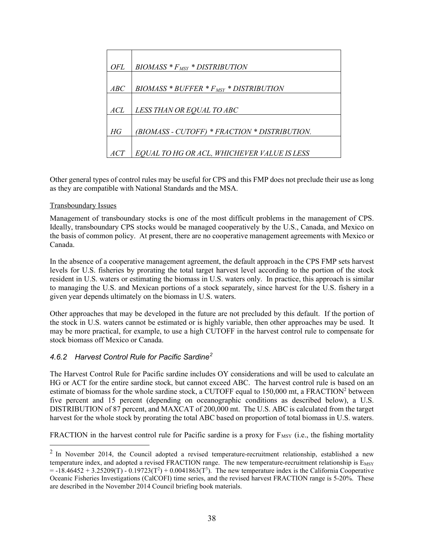| OFL                 | $BIOMASS * F_{MSY} * DISTRIBUTION$            |
|---------------------|-----------------------------------------------|
| $\displaystyle ABC$ | $B IOMASS * BUFFER * FMSY * DISTRIBUTION$     |
| ACL                 | LESS THAN OR EQUAL TO ABC                     |
| НG                  | (BIOMASS - CUTOFF) * FRACTION * DISTRIBUTION. |
| ACT                 | EQUAL TO HG OR ACL, WHICHEVER VALUE IS LESS   |

Other general types of control rules may be useful for CPS and this FMP does not preclude their use as long as they are compatible with National Standards and the MSA.

#### Transboundary Issues

Management of transboundary stocks is one of the most difficult problems in the management of CPS. Ideally, transboundary CPS stocks would be managed cooperatively by the U.S., Canada, and Mexico on the basis of common policy. At present, there are no cooperative management agreements with Mexico or Canada.

In the absence of a cooperative management agreement, the default approach in the CPS FMP sets harvest levels for U.S. fisheries by prorating the total target harvest level according to the portion of the stock resident in U.S. waters or estimating the biomass in U.S. waters only. In practice, this approach is similar to managing the U.S. and Mexican portions of a stock separately, since harvest for the U.S. fishery in a given year depends ultimately on the biomass in U.S. waters.

Other approaches that may be developed in the future are not precluded by this default. If the portion of the stock in U.S. waters cannot be estimated or is highly variable, then other approaches may be used. It may be more practical, for example, to use a high CUTOFF in the harvest control rule to compensate for stock biomass off Mexico or Canada.

#### <span id="page-43-0"></span>*4.6.2 Harvest Control Rule for Pacific Sardine[2](#page-43-1)*

The Harvest Control Rule for Pacific sardine includes OY considerations and will be used to calculate an HG or ACT for the entire sardine stock, but cannot exceed ABC. The harvest control rule is based on an estimate of biomass for the whole sardine stock, a CUTOFF equal to 150,000 mt, a FRACTION<sup>2</sup> between five percent and 15 percent (depending on oceanographic conditions as described below), a U.S. DISTRIBUTION of 87 percent, and MAXCAT of 200,000 mt. The U.S. ABC is calculated from the target harvest for the whole stock by prorating the total ABC based on proportion of total biomass in U.S. waters.

FRACTION in the harvest control rule for Pacific sardine is a proxy for  $F_{MSY}$  (i.e., the fishing mortality

<span id="page-43-1"></span> $2$  In November 2014, the Council adopted a revised temperature-recruitment relationship, established a new temperature index, and adopted a revised FRACTION range. The new temperature-recruitment relationship is  $E_{MSY}$  $= -18.46452 + 3.25209(T) - 0.19723(T^2) + 0.0041863(T^3)$ . The new temperature index is the California Cooperative Oceanic Fisheries Investigations (CalCOFI) time series, and the revised harvest FRACTION range is 5-20%. These are described in the November 2014 Council briefing book materials.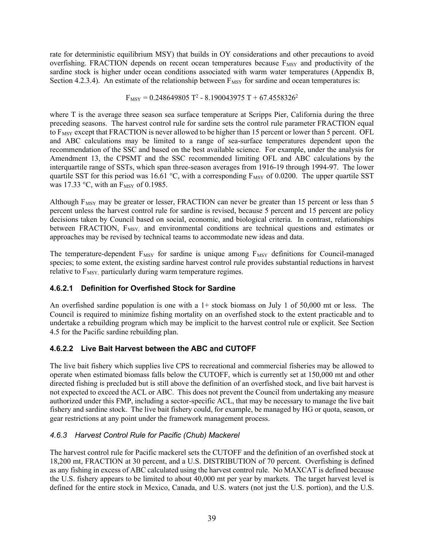rate for deterministic equilibrium MSY) that builds in OY considerations and other precautions to avoid overfishing. FRACTION depends on recent ocean temperatures because  $F_{MSY}$  and productivity of the sardine stock is higher under ocean conditions associated with warm water temperatures (Appendix B, Section 4.2.3.4). An estimate of the relationship between  $F_{MSY}$  for sardine and ocean temperatures is:

 $F_{MSY} = 0.248649805 T^2 - 8.190043975 T + 67.4558326^2$ 

where T is the average three season sea surface temperature at Scripps Pier, California during the three preceding seasons. The harvest control rule for sardine sets the control rule parameter FRACTION equal to F<sub>MSY</sub> except that FRACTION is never allowed to be higher than 15 percent or lower than 5 percent. OFL and ABC calculations may be limited to a range of sea-surface temperatures dependent upon the recommendation of the SSC and based on the best available science. For example, under the analysis for Amendment 13, the CPSMT and the SSC recommended limiting OFL and ABC calculations by the interquartile range of SSTs, which span three-season averages from 1916-19 through 1994-97. The lower quartile SST for this period was 16.61 °C, with a corresponding  $F_{MSY}$  of 0.0200. The upper quartile SST was 17.33  $\degree$ C, with an F<sub>MSY</sub> of 0.1985.

Although F<sub>MSY</sub> may be greater or lesser, FRACTION can never be greater than 15 percent or less than 5 percent unless the harvest control rule for sardine is revised, because 5 percent and 15 percent are policy decisions taken by Council based on social, economic, and biological criteria. In contrast, relationships between FRACTION, F<sub>MSY,</sub> and environmental conditions are technical questions and estimates or approaches may be revised by technical teams to accommodate new ideas and data.

The temperature-dependent  $F_{MSY}$  for sardine is unique among  $F_{MSY}$  definitions for Council-managed species; to some extent, the existing sardine harvest control rule provides substantial reductions in harvest relative to  $F_{MSY}$  particularly during warm temperature regimes.

# <span id="page-44-0"></span>**4.6.2.1 Definition for Overfished Stock for Sardine**

An overfished sardine population is one with a  $1+$  stock biomass on July 1 of 50,000 mt or less. The Council is required to minimize fishing mortality on an overfished stock to the extent practicable and to undertake a rebuilding program which may be implicit to the harvest control rule or explicit. See Section 4.5 for the Pacific sardine rebuilding plan.

# <span id="page-44-1"></span>**4.6.2.2 Live Bait Harvest between the ABC and CUTOFF**

The live bait fishery which supplies live CPS to recreational and commercial fisheries may be allowed to operate when estimated biomass falls below the CUTOFF, which is currently set at 150,000 mt and other directed fishing is precluded but is still above the definition of an overfished stock, and live bait harvest is not expected to exceed the ACL or ABC. This does not prevent the Council from undertaking any measure authorized under this FMP, including a sector-specific ACL, that may be necessary to manage the live bait fishery and sardine stock. The live bait fishery could, for example, be managed by HG or quota, season, or gear restrictions at any point under the framework management process.

# <span id="page-44-2"></span>*4.6.3 Harvest Control Rule for Pacific (Chub) Mackerel*

The harvest control rule for Pacific mackerel sets the CUTOFF and the definition of an overfished stock at 18,200 mt, FRACTION at 30 percent, and a U.S. DISTRIBUTION of 70 percent. Overfishing is defined as any fishing in excess of ABC calculated using the harvest control rule. No MAXCAT is defined because the U.S. fishery appears to be limited to about 40,000 mt per year by markets. The target harvest level is defined for the entire stock in Mexico, Canada, and U.S. waters (not just the U.S. portion), and the U.S.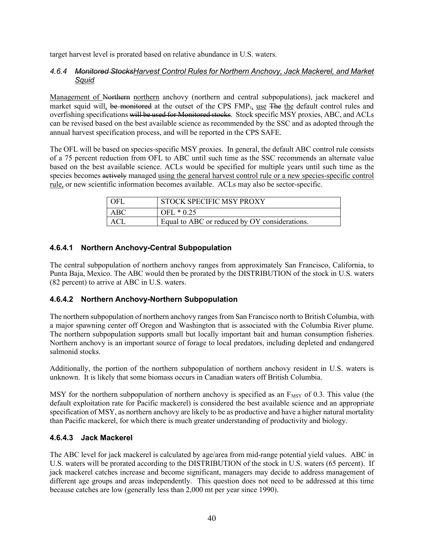target harvest level is prorated based on relative abundance in U.S. waters.

#### <span id="page-45-0"></span>*4.6.4 Monitored StocksHarvest Control Rules for Northern Anchovy, Jack Mackerel, and Market Squid*

Management of Northern northern anchovy (northern and central subpopulations), jack mackerel and market squid will, be monitored at the outset of the CPS FMP., use The the default control rules and overfishing specifications will be used for Monitored stocks. Stock specific MSY proxies, ABC, and ACLs can be revised based on the best available science as recommended by the SSC and as adopted through the annual harvest specification process, and will be reported in the CPS SAFE.

The OFL will be based on species-specific MSY proxies. In general, the default ABC control rule consists of a 75 percent reduction from OFL to ABC until such time as the SSC recommends an alternate value based on the best available science. ACLs would be specified for multiple years until such time as the species becomes actively managed using the general harvest control rule or a new species-specific control rule, or new scientific information becomes available. ACLs may also be sector-specific.

| - OFL | STOCK SPECIFIC MSY PROXY                      |
|-------|-----------------------------------------------|
| ABC.  | $OFL * 0.25$                                  |
| ACI   | Equal to ABC or reduced by OY considerations. |

# <span id="page-45-1"></span>**4.6.4.1 Northern Anchovy-Central Subpopulation**

The central subpopulation of northern anchovy ranges from approximately San Francisco, California, to Punta Baja, Mexico. The ABC would then be prorated by the DISTRIBUTION of the stock in U.S. waters (82 percent) to arrive at ABC in U.S. waters.

# <span id="page-45-2"></span>**4.6.4.2 Northern Anchovy-Northern Subpopulation**

The northern subpopulation of northern anchovy ranges from San Francisco north to British Columbia, with a major spawning center off Oregon and Washington that is associated with the Columbia River plume. The northern subpopulation supports small but locally important bait and human consumption fisheries. Northern anchovy is an important source of forage to local predators, including depleted and endangered salmonid stocks.

Additionally, the portion of the northern subpopulation of northern anchovy resident in U.S. waters is unknown. It is likely that some biomass occurs in Canadian waters off British Columbia.

MSY for the northern subpopulation of northern anchovy is specified as an  $F_{MSY}$  of 0.3. This value (the default exploitation rate for Pacific mackerel) is considered the best available science and an appropriate specification of MSY, as northern anchovy are likely to be as productive and have a higher natural mortality than Pacific mackerel, for which there is much greater understanding of productivity and biology.

#### <span id="page-45-3"></span>**4.6.4.3 Jack Mackerel**

The ABC level for jack mackerel is calculated by age/area from mid-range potential yield values. ABC in U.S. waters will be prorated according to the DISTRIBUTION of the stock in U.S. waters (65 percent). If jack mackerel catches increase and become significant, managers may decide to address management of different age groups and areas independently. This question does not need to be addressed at this time because catches are low (generally less than 2,000 mt per year since 1990).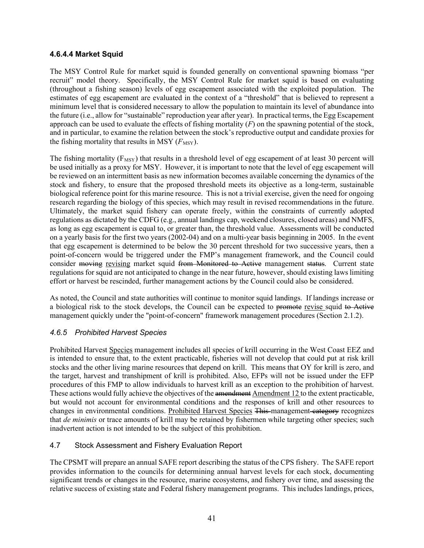#### <span id="page-46-0"></span>**4.6.4.4 Market Squid**

The MSY Control Rule for market squid is founded generally on conventional spawning biomass "per recruit" model theory. Specifically, the MSY Control Rule for market squid is based on evaluating (throughout a fishing season) levels of egg escapement associated with the exploited population. The estimates of egg escapement are evaluated in the context of a "threshold" that is believed to represent a minimum level that is considered necessary to allow the population to maintain its level of abundance into the future (i.e., allow for "sustainable" reproduction year after year). In practical terms, the Egg Escapement approach can be used to evaluate the effects of fishing mortality  $(F)$  on the spawning potential of the stock, and in particular, to examine the relation between the stock's reproductive output and candidate proxies for the fishing mortality that results in MSY  $(F_{\text{MSY}})$ .

The fishing mortality ( $F_{MSY}$ ) that results in a threshold level of egg escapement of at least 30 percent will be used initially as a proxy for MSY. However, it is important to note that the level of egg escapement will be reviewed on an intermittent basis as new information becomes available concerning the dynamics of the stock and fishery, to ensure that the proposed threshold meets its objective as a long-term, sustainable biological reference point for this marine resource. This is not a trivial exercise, given the need for ongoing research regarding the biology of this species, which may result in revised recommendations in the future. Ultimately, the market squid fishery can operate freely, within the constraints of currently adopted regulations as dictated by the CDFG (e.g., annual landings cap, weekend closures, closed areas) and NMFS, as long as egg escapement is equal to, or greater than, the threshold value. Assessments will be conducted on a yearly basis for the first two years (2002-04) and on a multi-year basis beginning in 2005. In the event that egg escapement is determined to be below the 30 percent threshold for two successive years, then a point-of-concern would be triggered under the FMP's management framework, and the Council could consider moving revising market squid from Monitored to Active management status. Current state regulations for squid are not anticipated to change in the near future, however, should existing laws limiting effort or harvest be rescinded, further management actions by the Council could also be considered.

As noted, the Council and state authorities will continue to monitor squid landings. If landings increase or a biological risk to the stock develops, the Council can be expected to promote revise squid to Active management quickly under the "point-of-concern" framework management procedures (Section 2.1.2).

#### <span id="page-46-1"></span>*4.6.5 Prohibited Harvest Species*

Prohibited Harvest Species management includes all species of krill occurring in the West Coast EEZ and is intended to ensure that, to the extent practicable, fisheries will not develop that could put at risk krill stocks and the other living marine resources that depend on krill. This means that OY for krill is zero, and the target, harvest and transhipment of krill is prohibited. Also, EFPs will not be issued under the EFP procedures of this FMP to allow individuals to harvest krill as an exception to the prohibition of harvest. These actions would fully achieve the objectives of the amendment Amendment 12 to the extent practicable, but would not account for environmental conditions and the responses of krill and other resources to changes in environmental conditions. Prohibited Harvest Species This management category recognizes that *de minimis* or trace amounts of krill may be retained by fishermen while targeting other species; such inadvertent action is not intended to be the subject of this prohibition.

#### <span id="page-46-2"></span>4.7 Stock Assessment and Fishery Evaluation Report

The CPSMT will prepare an annual SAFE report describing the status of the CPS fishery. The SAFE report provides information to the councils for determining annual harvest levels for each stock, documenting significant trends or changes in the resource, marine ecosystems, and fishery over time, and assessing the relative success of existing state and Federal fishery management programs. This includes landings, prices,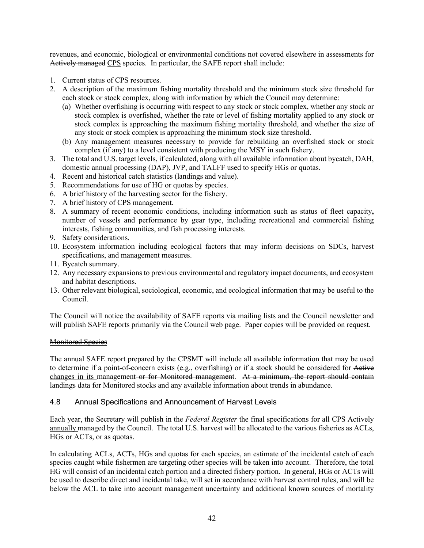revenues, and economic, biological or environmental conditions not covered elsewhere in assessments for Actively managed CPS species. In particular, the SAFE report shall include:

- 1. Current status of CPS resources.
- 2. A description of the maximum fishing mortality threshold and the minimum stock size threshold for each stock or stock complex, along with information by which the Council may determine:
	- (a) Whether overfishing is occurring with respect to any stock or stock complex, whether any stock or stock complex is overfished, whether the rate or level of fishing mortality applied to any stock or stock complex is approaching the maximum fishing mortality threshold, and whether the size of any stock or stock complex is approaching the minimum stock size threshold.
	- (b) Any management measures necessary to provide for rebuilding an overfished stock or stock complex (if any) to a level consistent with producing the MSY in such fishery.
- 3. The total and U.S. target levels, if calculated, along with all available information about bycatch, DAH, domestic annual processing (DAP), JVP, and TALFF used to specify HGs or quotas.
- 4. Recent and historical catch statistics (landings and value).
- 5. Recommendations for use of HG or quotas by species.
- 6. A brief history of the harvesting sector for the fishery.
- 7. A brief history of CPS management.
- 8. A summary of recent economic conditions, including information such as status of fleet capacity**,** number of vessels and performance by gear type, including recreational and commercial fishing interests, fishing communities, and fish processing interests.
- 9. Safety considerations.
- 10. Ecosystem information including ecological factors that may inform decisions on SDCs, harvest specifications, and management measures.
- 11. Bycatch summary.
- 12. Any necessary expansions to previous environmental and regulatory impact documents, and ecosystem and habitat descriptions.
- 13. Other relevant biological, sociological, economic, and ecological information that may be useful to the Council.

The Council will notice the availability of SAFE reports via mailing lists and the Council newsletter and will publish SAFE reports primarily via the Council web page. Paper copies will be provided on request.

#### Monitored Species

The annual SAFE report prepared by the CPSMT will include all available information that may be used to determine if a point**-**of**-**concern exists (e.g., overfishing) or if a stock should be considered for Active changes in its management or for Monitored management. At a minimum, the report should contain landings data for Monitored stocks and any available information about trends in abundance.

#### <span id="page-47-0"></span>4.8 Annual Specifications and Announcement of Harvest Levels

Each year, the Secretary will publish in the *Federal Register* the final specifications for all CPS Actively annually managed by the Council. The total U.S. harvest will be allocated to the various fisheries as ACLs, HGs or ACTs, or as quotas.

In calculating ACLs, ACTs, HGs and quotas for each species, an estimate of the incidental catch of each species caught while fishermen are targeting other species will be taken into account. Therefore, the total HG will consist of an incidental catch portion and a directed fishery portion. In general, HGs or ACTs will be used to describe direct and incidental take, will set in accordance with harvest control rules, and will be below the ACL to take into account management uncertainty and additional known sources of mortality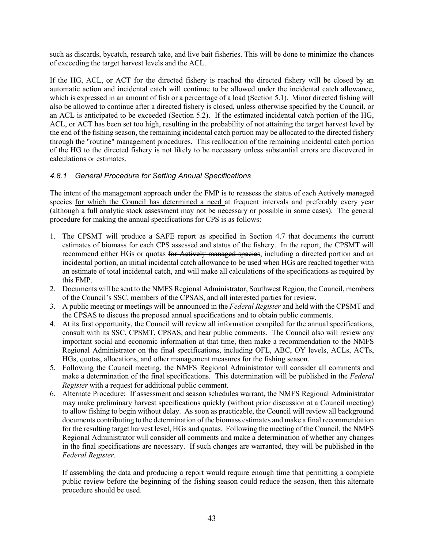such as discards, bycatch, research take, and live bait fisheries. This will be done to minimize the chances of exceeding the target harvest levels and the ACL.

If the HG, ACL, or ACT for the directed fishery is reached the directed fishery will be closed by an automatic action and incidental catch will continue to be allowed under the incidental catch allowance, which is expressed in an amount of fish or a percentage of a load (Section 5.1). Minor directed fishing will also be allowed to continue after a directed fishery is closed, unless otherwise specified by the Council, or an ACL is anticipated to be exceeded (Section 5.2). If the estimated incidental catch portion of the HG, ACL, or ACT has been set too high, resulting in the probability of not attaining the target harvest level by the end of the fishing season, the remaining incidental catch portion may be allocated to the directed fishery through the "routine" management procedures. This reallocation of the remaining incidental catch portion of the HG to the directed fishery is not likely to be necessary unless substantial errors are discovered in calculations or estimates.

# <span id="page-48-0"></span>*4.8.1 General Procedure for Setting Annual Specifications*

The intent of the management approach under the FMP is to reassess the status of each Actively managed species for which the Council has determined a need at frequent intervals and preferably every year (although a full analytic stock assessment may not be necessary or possible in some cases). The general procedure for making the annual specifications for CPS is as follows:

- 1. The CPSMT will produce a SAFE report as specified in Section 4.7 that documents the current estimates of biomass for each CPS assessed and status of the fishery. In the report, the CPSMT will recommend either HGs or quotas for Actively managed species, including a directed portion and an incidental portion, an initial incidental catch allowance to be used when HGs are reached together with an estimate of total incidental catch, and will make all calculations of the specifications as required by this FMP.
- 2. Documents will be sent to the NMFS Regional Administrator, Southwest Region, the Council, members of the Council's SSC, members of the CPSAS, and all interested parties for review.
- 3. A public meeting or meetings will be announced in the *Federal Register* and held with the CPSMT and the CPSAS to discuss the proposed annual specifications and to obtain public comments.
- 4. At its first opportunity, the Council will review all information compiled for the annual specifications, consult with its SSC, CPSMT, CPSAS, and hear public comments. The Council also will review any important social and economic information at that time, then make a recommendation to the NMFS Regional Administrator on the final specifications, including OFL, ABC, OY levels, ACLs, ACTs, HGs, quotas, allocations, and other management measures for the fishing season.
- 5. Following the Council meeting, the NMFS Regional Administrator will consider all comments and make a determination of the final specifications. This determination will be published in the *Federal Register* with a request for additional public comment.
- 6. Alternate Procedure: If assessment and season schedules warrant, the NMFS Regional Administrator may make preliminary harvest specifications quickly (without prior discussion at a Council meeting) to allow fishing to begin without delay. As soon as practicable, the Council will review all background documents contributing to the determination of the biomass estimates and make a final recommendation for the resulting target harvest level, HGs and quotas. Following the meeting of the Council, the NMFS Regional Administrator will consider all comments and make a determination of whether any changes in the final specifications are necessary. If such changes are warranted, they will be published in the *Federal Register*.

If assembling the data and producing a report would require enough time that permitting a complete public review before the beginning of the fishing season could reduce the season, then this alternate procedure should be used.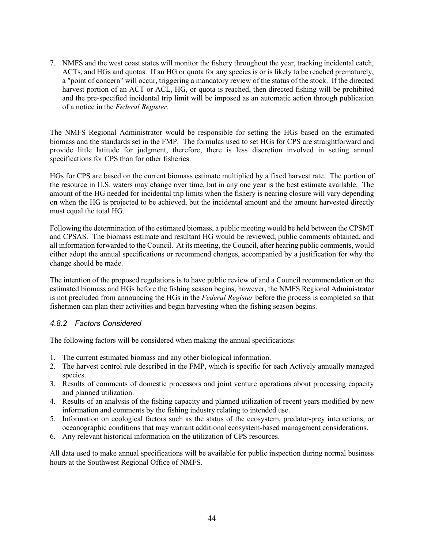7. NMFS and the west coast states will monitor the fishery throughout the year, tracking incidental catch, ACTs, and HGs and quotas. If an HG or quota for any species is or is likely to be reached prematurely, a "point of concern" will occur, triggering a mandatory review of the status of the stock. If the directed harvest portion of an ACT or ACL, HG, or quota is reached, then directed fishing will be prohibited and the pre-specified incidental trip limit will be imposed as an automatic action through publication of a notice in the *Federal Register*.

The NMFS Regional Administrator would be responsible for setting the HGs based on the estimated biomass and the standards set in the FMP. The formulas used to set HGs for CPS are straightforward and provide little latitude for judgment, therefore, there is less discretion involved in setting annual specifications for CPS than for other fisheries.

HGs for CPS are based on the current biomass estimate multiplied by a fixed harvest rate. The portion of the resource in U.S. waters may change over time, but in any one year is the best estimate available. The amount of the HG needed for incidental trip limits when the fishery is nearing closure will vary depending on when the HG is projected to be achieved, but the incidental amount and the amount harvested directly must equal the total HG.

Following the determination of the estimated biomass, a public meeting would be held between the CPSMT and CPSAS. The biomass estimate and resultant HG would be reviewed, public comments obtained, and all information forwarded to the Council. At its meeting, the Council, after hearing public comments, would either adopt the annual specifications or recommend changes, accompanied by a justification for why the change should be made.

The intention of the proposed regulations is to have public review of and a Council recommendation on the estimated biomass and HGs before the fishing season begins; however, the NMFS Regional Administrator is not precluded from announcing the HGs in the *Federal Register* before the process is completed so that fishermen can plan their activities and begin harvesting when the fishing season begins.

#### <span id="page-49-0"></span>*4.8.2 Factors Considered*

The following factors will be considered when making the annual specifications:

- 1. The current estimated biomass and any other biological information.
- 2. The harvest control rule described in the FMP, which is specific for each Actively annually managed species.
- 3. Results of comments of domestic processors and joint venture operations about processing capacity and planned utilization.
- 4. Results of an analysis of the fishing capacity and planned utilization of recent years modified by new information and comments by the fishing industry relating to intended use.
- 5. Information on ecological factors such as the status of the ecosystem, predator-prey interactions, or oceanographic conditions that may warrant additional ecosystem-based management considerations.
- 6. Any relevant historical information on the utilization of CPS resources.

All data used to make annual specifications will be available for public inspection during normal business hours at the Southwest Regional Office of NMFS.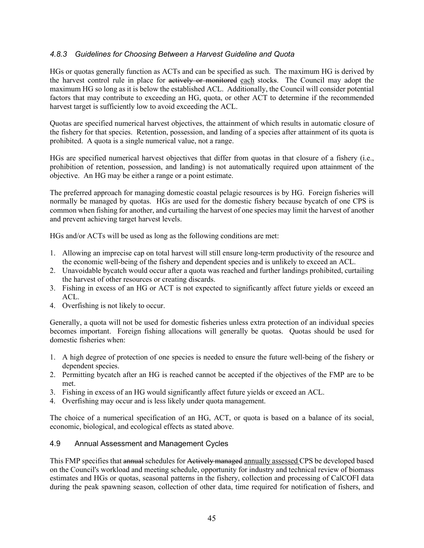#### <span id="page-50-0"></span>*4.8.3 Guidelines for Choosing Between a Harvest Guideline and Quota*

HGs or quotas generally function as ACTs and can be specified as such. The maximum HG is derived by the harvest control rule in place for actively or monitored each stocks. The Council may adopt the maximum HG so long as it is below the established ACL. Additionally, the Council will consider potential factors that may contribute to exceeding an HG, quota, or other ACT to determine if the recommended harvest target is sufficiently low to avoid exceeding the ACL.

Quotas are specified numerical harvest objectives, the attainment of which results in automatic closure of the fishery for that species. Retention, possession, and landing of a species after attainment of its quota is prohibited. A quota is a single numerical value, not a range.

HGs are specified numerical harvest objectives that differ from quotas in that closure of a fishery (i.e., prohibition of retention, possession, and landing) is not automatically required upon attainment of the objective. An HG may be either a range or a point estimate.

The preferred approach for managing domestic coastal pelagic resources is by HG. Foreign fisheries will normally be managed by quotas. HGs are used for the domestic fishery because bycatch of one CPS is common when fishing for another, and curtailing the harvest of one species may limit the harvest of another and prevent achieving target harvest levels.

HGs and/or ACTs will be used as long as the following conditions are met:

- 1. Allowing an imprecise cap on total harvest will still ensure long-term productivity of the resource and the economic well-being of the fishery and dependent species and is unlikely to exceed an ACL.
- 2. Unavoidable bycatch would occur after a quota was reached and further landings prohibited, curtailing the harvest of other resources or creating discards.
- 3. Fishing in excess of an HG or ACT is not expected to significantly affect future yields or exceed an ACL.
- 4. Overfishing is not likely to occur.

Generally, a quota will not be used for domestic fisheries unless extra protection of an individual species becomes important. Foreign fishing allocations will generally be quotas. Quotas should be used for domestic fisheries when:

- 1. A high degree of protection of one species is needed to ensure the future well-being of the fishery or dependent species.
- 2. Permitting bycatch after an HG is reached cannot be accepted if the objectives of the FMP are to be met.
- 3. Fishing in excess of an HG would significantly affect future yields or exceed an ACL.
- 4. Overfishing may occur and is less likely under quota management.

The choice of a numerical specification of an HG, ACT, or quota is based on a balance of its social, economic, biological, and ecological effects as stated above.

#### <span id="page-50-1"></span>4.9 Annual Assessment and Management Cycles

This FMP specifies that annual schedules for Actively managed annually assessed CPS be developed based on the Council's workload and meeting schedule, opportunity for industry and technical review of biomass estimates and HGs or quotas, seasonal patterns in the fishery, collection and processing of CalCOFI data during the peak spawning season, collection of other data, time required for notification of fishers, and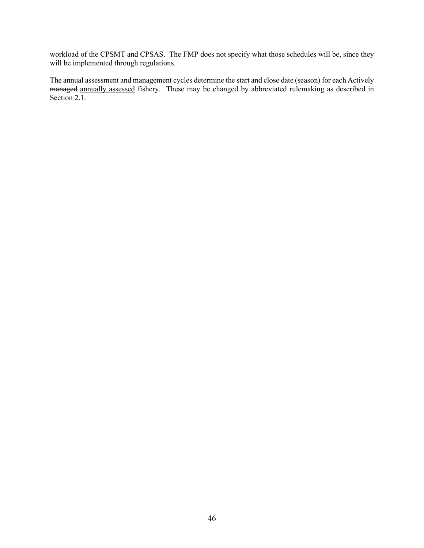workload of the CPSMT and CPSAS. The FMP does not specify what those schedules will be, since they will be implemented through regulations.

The annual assessment and management cycles determine the start and close date (season) for each Actively managed annually assessed fishery. These may be changed by abbreviated rulemaking as described in Section 2.1.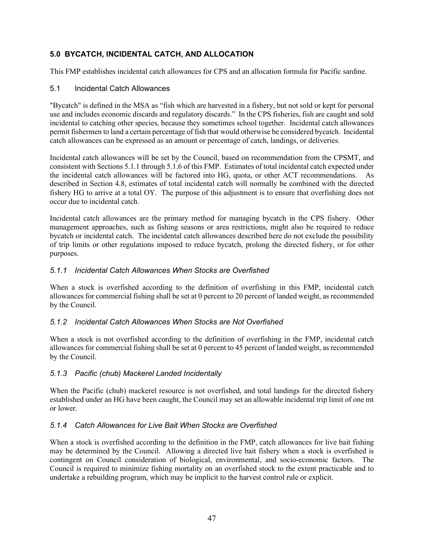# <span id="page-52-0"></span>**5.0 BYCATCH, INCIDENTAL CATCH, AND ALLOCATION**

This FMP establishes incidental catch allowances for CPS and an allocation formula for Pacific sardine.

#### <span id="page-52-1"></span>5.1 Incidental Catch Allowances

"Bycatch" is defined in the MSA as "fish which are harvested in a fishery, but not sold or kept for personal use and includes economic discards and regulatory discards." In the CPS fisheries, fish are caught and sold incidental to catching other species, because they sometimes school together. Incidental catch allowances permit fishermen to land a certain percentage of fish that would otherwise be considered bycatch. Incidental catch allowances can be expressed as an amount or percentage of catch, landings, or deliveries.

Incidental catch allowances will be set by the Council, based on recommendation from the CPSMT, and consistent with Sections 5.1.1 through 5.1.6 of this FMP. Estimates of total incidental catch expected under the incidental catch allowances will be factored into HG, quota, or other ACT recommendations. As described in Section 4.8, estimates of total incidental catch will normally be combined with the directed fishery HG to arrive at a total OY. The purpose of this adjustment is to ensure that overfishing does not occur due to incidental catch.

Incidental catch allowances are the primary method for managing bycatch in the CPS fishery. Other management approaches, such as fishing seasons or area restrictions, might also be required to reduce bycatch or incidental catch. The incidental catch allowances described here do not exclude the possibility of trip limits or other regulations imposed to reduce bycatch, prolong the directed fishery, or for other purposes.

#### <span id="page-52-2"></span>*5.1.1 Incidental Catch Allowances When Stocks are Overfished*

When a stock is overfished according to the definition of overfishing in this FMP, incidental catch allowances for commercial fishing shall be set at 0 percent to 20 percent of landed weight, as recommended by the Council.

#### <span id="page-52-3"></span>*5.1.2 Incidental Catch Allowances When Stocks are Not Overfished*

When a stock is not overfished according to the definition of overfishing in the FMP, incidental catch allowances for commercial fishing shall be set at 0 percent to 45 percent of landed weight, as recommended by the Council.

#### <span id="page-52-4"></span>*5.1.3 Pacific (chub) Mackerel Landed Incidentally*

When the Pacific (chub) mackerel resource is not overfished, and total landings for the directed fishery established under an HG have been caught, the Council may set an allowable incidental trip limit of one mt or lower.

#### <span id="page-52-5"></span>*5.1.4 Catch Allowances for Live Bait When Stocks are Overfished*

When a stock is overfished according to the definition in the FMP, catch allowances for live bait fishing may be determined by the Council. Allowing a directed live bait fishery when a stock is overfished is contingent on Council consideration of biological, environmental, and socio-economic factors. The Council is required to minimize fishing mortality on an overfished stock to the extent practicable and to undertake a rebuilding program, which may be implicit to the harvest control rule or explicit.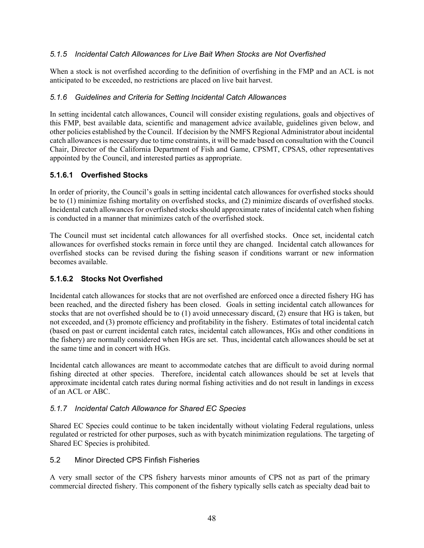#### <span id="page-53-0"></span>*5.1.5 Incidental Catch Allowances for Live Bait When Stocks are Not Overfished*

When a stock is not overfished according to the definition of overfishing in the FMP and an ACL is not anticipated to be exceeded, no restrictions are placed on live bait harvest.

# <span id="page-53-1"></span>*5.1.6 Guidelines and Criteria for Setting Incidental Catch Allowances*

In setting incidental catch allowances, Council will consider existing regulations, goals and objectives of this FMP, best available data, scientific and management advice available, guidelines given below, and other policies established by the Council. If decision by the NMFS Regional Administrator about incidental catch allowances is necessary due to time constraints, it will be made based on consultation with the Council Chair, Director of the California Department of Fish and Game, CPSMT, CPSAS, other representatives appointed by the Council, and interested parties as appropriate.

# <span id="page-53-2"></span>**5.1.6.1 Overfished Stocks**

In order of priority, the Council's goals in setting incidental catch allowances for overfished stocks should be to (1) minimize fishing mortality on overfished stocks, and (2) minimize discards of overfished stocks. Incidental catch allowances for overfished stocks should approximate rates of incidental catch when fishing is conducted in a manner that minimizes catch of the overfished stock.

The Council must set incidental catch allowances for all overfished stocks. Once set, incidental catch allowances for overfished stocks remain in force until they are changed. Incidental catch allowances for overfished stocks can be revised during the fishing season if conditions warrant or new information becomes available.

# <span id="page-53-3"></span>**5.1.6.2 Stocks Not Overfished**

Incidental catch allowances for stocks that are not overfished are enforced once a directed fishery HG has been reached, and the directed fishery has been closed. Goals in setting incidental catch allowances for stocks that are not overfished should be to (1) avoid unnecessary discard, (2) ensure that HG is taken, but not exceeded, and (3) promote efficiency and profitability in the fishery. Estimates of total incidental catch (based on past or current incidental catch rates, incidental catch allowances, HGs and other conditions in the fishery) are normally considered when HGs are set. Thus, incidental catch allowances should be set at the same time and in concert with HGs.

Incidental catch allowances are meant to accommodate catches that are difficult to avoid during normal fishing directed at other species. Therefore, incidental catch allowances should be set at levels that approximate incidental catch rates during normal fishing activities and do not result in landings in excess of an ACL or ABC.

#### <span id="page-53-4"></span>*5.1.7 Incidental Catch Allowance for Shared EC Species*

Shared EC Species could continue to be taken incidentally without violating Federal regulations, unless regulated or restricted for other purposes, such as with bycatch minimization regulations. The targeting of Shared EC Species is prohibited.

#### <span id="page-53-5"></span>5.2 Minor Directed CPS Finfish Fisheries

A very small sector of the CPS fishery harvests minor amounts of CPS not as part of the primary commercial directed fishery. This component of the fishery typically sells catch as specialty dead bait to